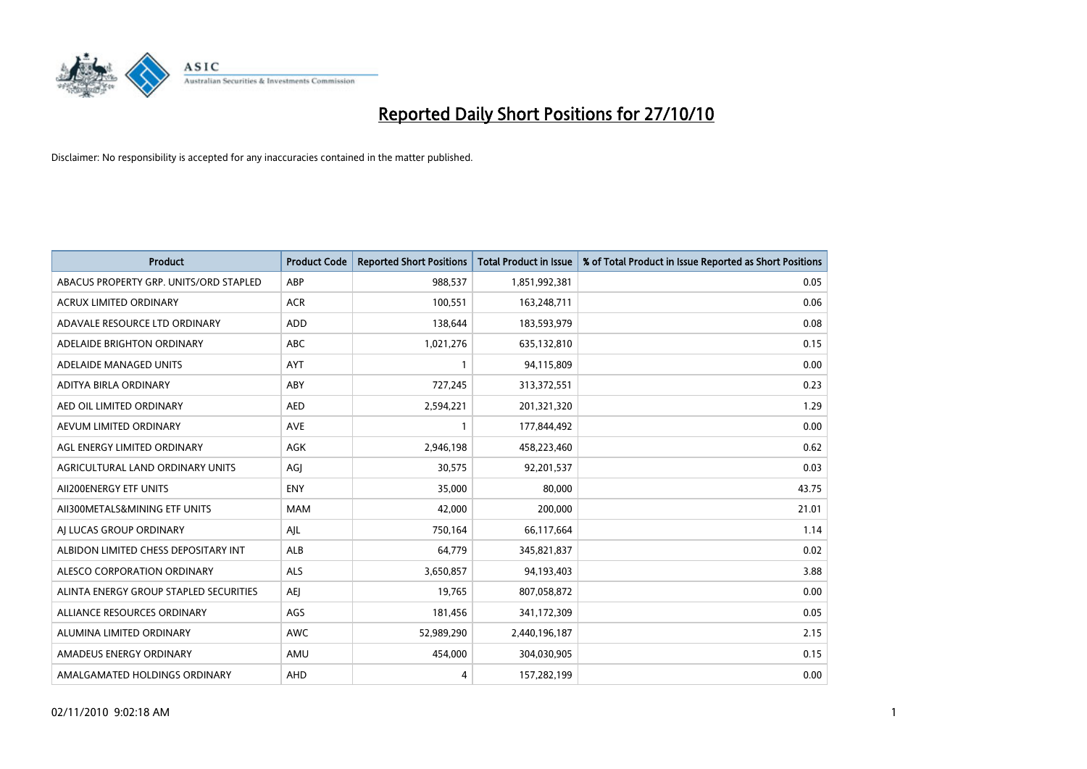

| <b>Product</b>                         | <b>Product Code</b> | <b>Reported Short Positions</b> | <b>Total Product in Issue</b> | % of Total Product in Issue Reported as Short Positions |
|----------------------------------------|---------------------|---------------------------------|-------------------------------|---------------------------------------------------------|
| ABACUS PROPERTY GRP. UNITS/ORD STAPLED | ABP                 | 988,537                         | 1,851,992,381                 | 0.05                                                    |
| ACRUX LIMITED ORDINARY                 | <b>ACR</b>          | 100,551                         | 163,248,711                   | 0.06                                                    |
| ADAVALE RESOURCE LTD ORDINARY          | <b>ADD</b>          | 138,644                         | 183,593,979                   | 0.08                                                    |
| ADELAIDE BRIGHTON ORDINARY             | <b>ABC</b>          | 1,021,276                       | 635,132,810                   | 0.15                                                    |
| ADELAIDE MANAGED UNITS                 | AYT                 |                                 | 94,115,809                    | 0.00                                                    |
| ADITYA BIRLA ORDINARY                  | ABY                 | 727,245                         | 313,372,551                   | 0.23                                                    |
| AED OIL LIMITED ORDINARY               | <b>AED</b>          | 2,594,221                       | 201,321,320                   | 1.29                                                    |
| AEVUM LIMITED ORDINARY                 | <b>AVE</b>          |                                 | 177,844,492                   | 0.00                                                    |
| AGL ENERGY LIMITED ORDINARY            | <b>AGK</b>          | 2,946,198                       | 458,223,460                   | 0.62                                                    |
| AGRICULTURAL LAND ORDINARY UNITS       | AGI                 | 30,575                          | 92,201,537                    | 0.03                                                    |
| AII200ENERGY ETF UNITS                 | <b>ENY</b>          | 35,000                          | 80,000                        | 43.75                                                   |
| AII300METALS&MINING ETF UNITS          | <b>MAM</b>          | 42,000                          | 200,000                       | 21.01                                                   |
| AI LUCAS GROUP ORDINARY                | AJL                 | 750,164                         | 66,117,664                    | 1.14                                                    |
| ALBIDON LIMITED CHESS DEPOSITARY INT   | ALB                 | 64,779                          | 345,821,837                   | 0.02                                                    |
| ALESCO CORPORATION ORDINARY            | <b>ALS</b>          | 3,650,857                       | 94,193,403                    | 3.88                                                    |
| ALINTA ENERGY GROUP STAPLED SECURITIES | <b>AEI</b>          | 19,765                          | 807,058,872                   | 0.00                                                    |
| ALLIANCE RESOURCES ORDINARY            | AGS                 | 181,456                         | 341,172,309                   | 0.05                                                    |
| ALUMINA LIMITED ORDINARY               | <b>AWC</b>          | 52,989,290                      | 2,440,196,187                 | 2.15                                                    |
| AMADEUS ENERGY ORDINARY                | AMU                 | 454,000                         | 304,030,905                   | 0.15                                                    |
| AMALGAMATED HOLDINGS ORDINARY          | AHD                 | 4                               | 157,282,199                   | 0.00                                                    |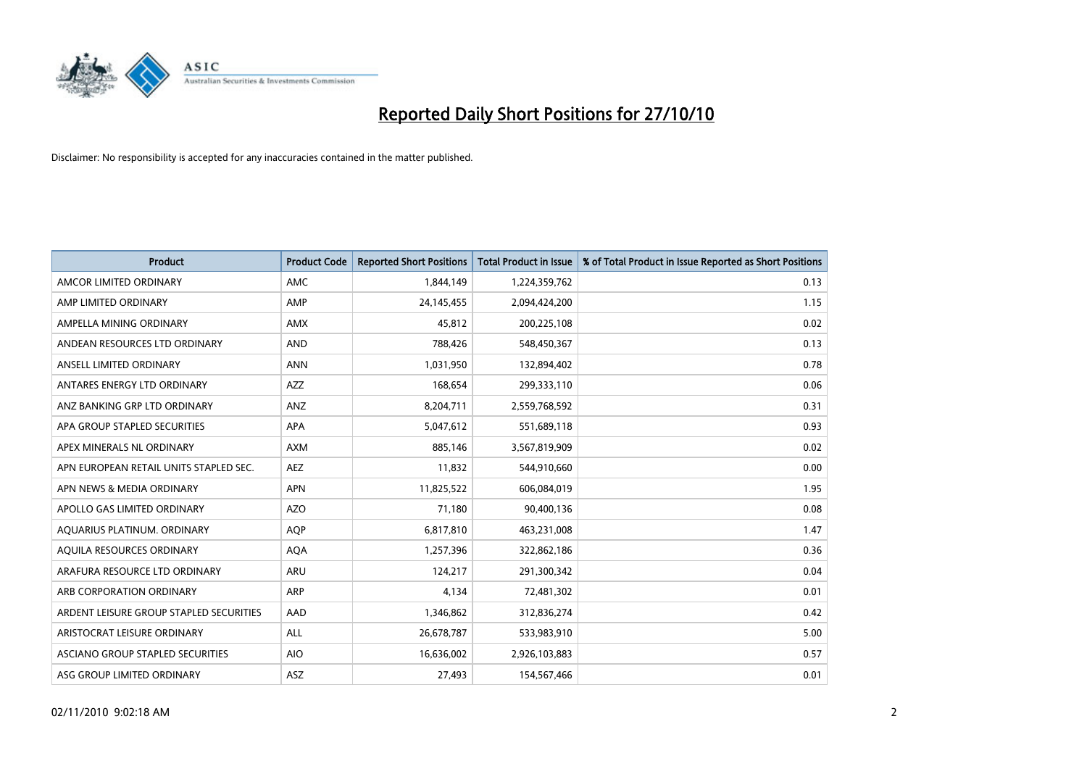

| <b>Product</b>                          | <b>Product Code</b> | <b>Reported Short Positions</b> | <b>Total Product in Issue</b> | % of Total Product in Issue Reported as Short Positions |
|-----------------------------------------|---------------------|---------------------------------|-------------------------------|---------------------------------------------------------|
| AMCOR LIMITED ORDINARY                  | AMC.                | 1,844,149                       | 1,224,359,762                 | 0.13                                                    |
| AMP LIMITED ORDINARY                    | AMP                 | 24,145,455                      | 2,094,424,200                 | 1.15                                                    |
| AMPELLA MINING ORDINARY                 | <b>AMX</b>          | 45.812                          | 200,225,108                   | 0.02                                                    |
| ANDEAN RESOURCES LTD ORDINARY           | <b>AND</b>          | 788,426                         | 548,450,367                   | 0.13                                                    |
| ANSELL LIMITED ORDINARY                 | <b>ANN</b>          | 1,031,950                       | 132,894,402                   | 0.78                                                    |
| ANTARES ENERGY LTD ORDINARY             | <b>AZZ</b>          | 168,654                         | 299,333,110                   | 0.06                                                    |
| ANZ BANKING GRP LTD ORDINARY            | ANZ                 | 8,204,711                       | 2,559,768,592                 | 0.31                                                    |
| APA GROUP STAPLED SECURITIES            | <b>APA</b>          | 5,047,612                       | 551,689,118                   | 0.93                                                    |
| APEX MINERALS NL ORDINARY               | <b>AXM</b>          | 885,146                         | 3,567,819,909                 | 0.02                                                    |
| APN EUROPEAN RETAIL UNITS STAPLED SEC.  | <b>AEZ</b>          | 11,832                          | 544,910,660                   | 0.00                                                    |
| APN NEWS & MEDIA ORDINARY               | <b>APN</b>          | 11,825,522                      | 606,084,019                   | 1.95                                                    |
| APOLLO GAS LIMITED ORDINARY             | <b>AZO</b>          | 71,180                          | 90,400,136                    | 0.08                                                    |
| AQUARIUS PLATINUM. ORDINARY             | <b>AQP</b>          | 6,817,810                       | 463,231,008                   | 1.47                                                    |
| AQUILA RESOURCES ORDINARY               | <b>AQA</b>          | 1,257,396                       | 322,862,186                   | 0.36                                                    |
| ARAFURA RESOURCE LTD ORDINARY           | <b>ARU</b>          | 124,217                         | 291,300,342                   | 0.04                                                    |
| ARB CORPORATION ORDINARY                | ARP                 | 4,134                           | 72,481,302                    | 0.01                                                    |
| ARDENT LEISURE GROUP STAPLED SECURITIES | AAD                 | 1,346,862                       | 312,836,274                   | 0.42                                                    |
| ARISTOCRAT LEISURE ORDINARY             | <b>ALL</b>          | 26,678,787                      | 533,983,910                   | 5.00                                                    |
| ASCIANO GROUP STAPLED SECURITIES        | <b>AIO</b>          | 16,636,002                      | 2,926,103,883                 | 0.57                                                    |
| ASG GROUP LIMITED ORDINARY              | <b>ASZ</b>          | 27.493                          | 154,567,466                   | 0.01                                                    |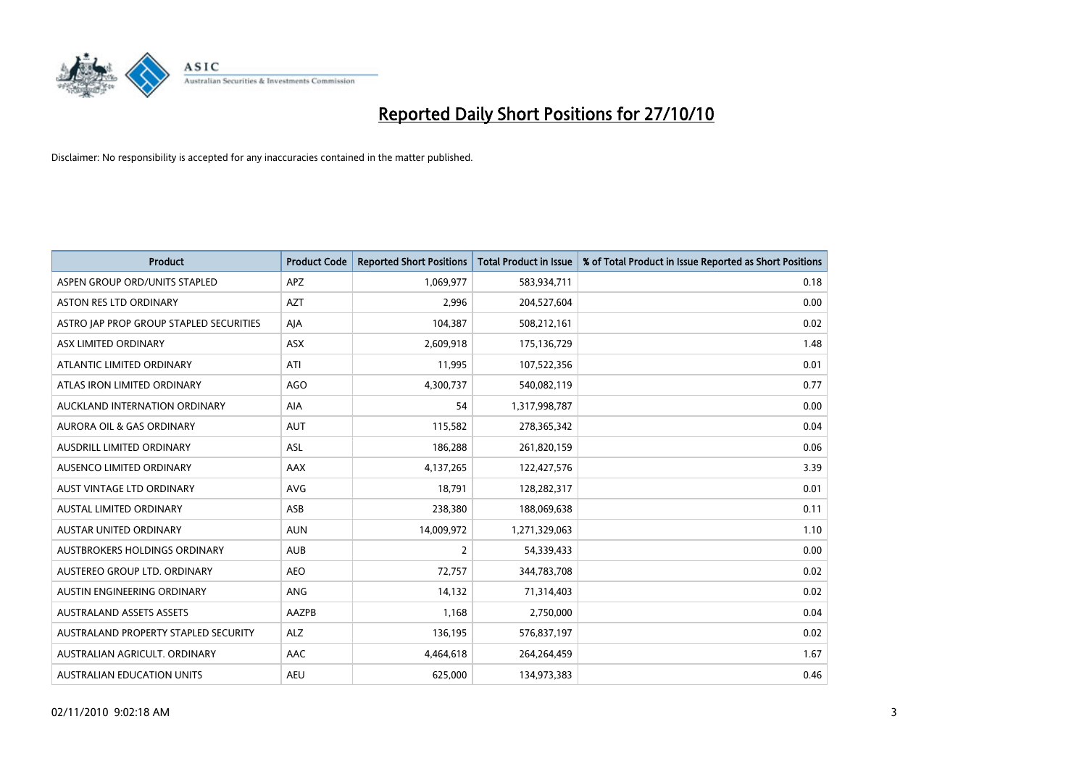

| <b>Product</b>                          | <b>Product Code</b> | <b>Reported Short Positions</b> | <b>Total Product in Issue</b> | % of Total Product in Issue Reported as Short Positions |
|-----------------------------------------|---------------------|---------------------------------|-------------------------------|---------------------------------------------------------|
| ASPEN GROUP ORD/UNITS STAPLED           | APZ                 | 1,069,977                       | 583,934,711                   | 0.18                                                    |
| <b>ASTON RES LTD ORDINARY</b>           | <b>AZT</b>          | 2,996                           | 204,527,604                   | 0.00                                                    |
| ASTRO JAP PROP GROUP STAPLED SECURITIES | AJA                 | 104,387                         | 508,212,161                   | 0.02                                                    |
| ASX LIMITED ORDINARY                    | ASX                 | 2,609,918                       | 175,136,729                   | 1.48                                                    |
| ATLANTIC LIMITED ORDINARY               | ATI                 | 11,995                          | 107,522,356                   | 0.01                                                    |
| ATLAS IRON LIMITED ORDINARY             | <b>AGO</b>          | 4,300,737                       | 540,082,119                   | 0.77                                                    |
| AUCKLAND INTERNATION ORDINARY           | <b>AIA</b>          | 54                              | 1,317,998,787                 | 0.00                                                    |
| <b>AURORA OIL &amp; GAS ORDINARY</b>    | <b>AUT</b>          | 115,582                         | 278,365,342                   | 0.04                                                    |
| AUSDRILL LIMITED ORDINARY               | <b>ASL</b>          | 186,288                         | 261,820,159                   | 0.06                                                    |
| AUSENCO LIMITED ORDINARY                | AAX                 | 4,137,265                       | 122,427,576                   | 3.39                                                    |
| AUST VINTAGE LTD ORDINARY               | <b>AVG</b>          | 18,791                          | 128,282,317                   | 0.01                                                    |
| <b>AUSTAL LIMITED ORDINARY</b>          | ASB                 | 238,380                         | 188,069,638                   | 0.11                                                    |
| <b>AUSTAR UNITED ORDINARY</b>           | <b>AUN</b>          | 14,009,972                      | 1,271,329,063                 | 1.10                                                    |
| AUSTBROKERS HOLDINGS ORDINARY           | <b>AUB</b>          | 2                               | 54,339,433                    | 0.00                                                    |
| AUSTEREO GROUP LTD. ORDINARY            | <b>AEO</b>          | 72,757                          | 344,783,708                   | 0.02                                                    |
| AUSTIN ENGINEERING ORDINARY             | ANG                 | 14,132                          | 71,314,403                    | 0.02                                                    |
| <b>AUSTRALAND ASSETS ASSETS</b>         | AAZPB               | 1,168                           | 2,750,000                     | 0.04                                                    |
| AUSTRALAND PROPERTY STAPLED SECURITY    | <b>ALZ</b>          | 136,195                         | 576,837,197                   | 0.02                                                    |
| AUSTRALIAN AGRICULT, ORDINARY           | AAC                 | 4,464,618                       | 264,264,459                   | 1.67                                                    |
| AUSTRALIAN EDUCATION UNITS              | <b>AEU</b>          | 625.000                         | 134,973,383                   | 0.46                                                    |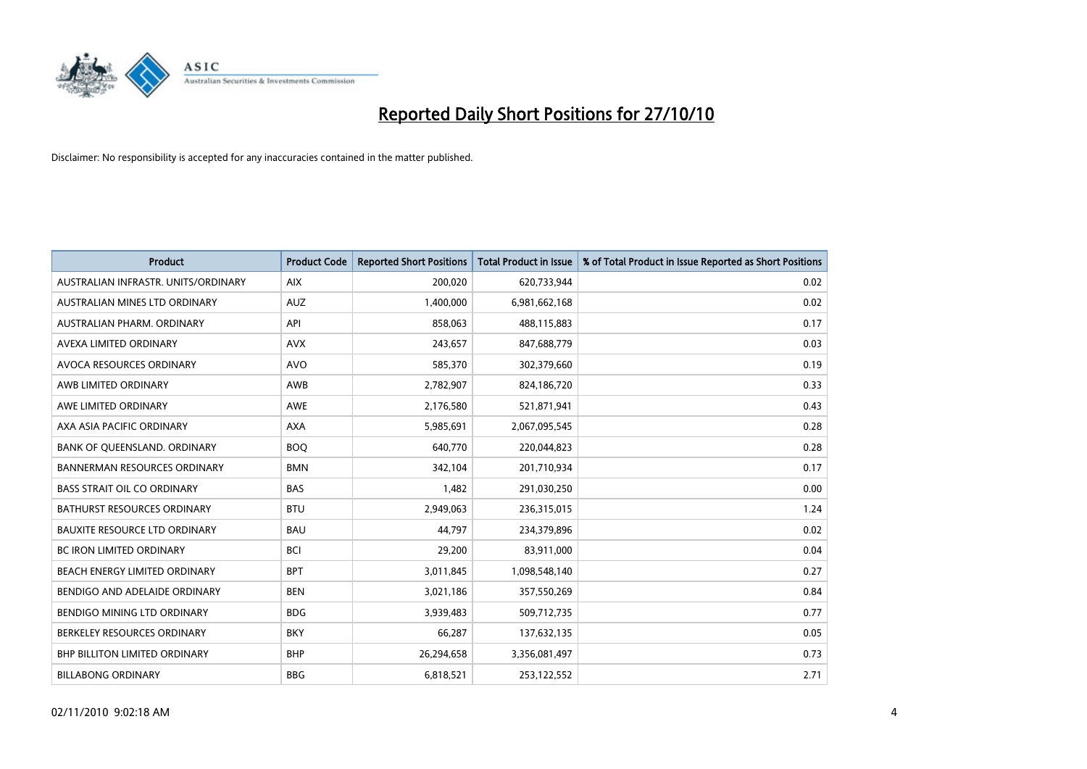

| <b>Product</b>                       | <b>Product Code</b> | <b>Reported Short Positions</b> | <b>Total Product in Issue</b> | % of Total Product in Issue Reported as Short Positions |
|--------------------------------------|---------------------|---------------------------------|-------------------------------|---------------------------------------------------------|
| AUSTRALIAN INFRASTR, UNITS/ORDINARY  | <b>AIX</b>          | 200,020                         | 620,733,944                   | 0.02                                                    |
| AUSTRALIAN MINES LTD ORDINARY        | <b>AUZ</b>          | 1,400,000                       | 6,981,662,168                 | 0.02                                                    |
| AUSTRALIAN PHARM, ORDINARY           | API                 | 858.063                         | 488,115,883                   | 0.17                                                    |
| AVEXA LIMITED ORDINARY               | <b>AVX</b>          | 243,657                         | 847,688,779                   | 0.03                                                    |
| <b>AVOCA RESOURCES ORDINARY</b>      | <b>AVO</b>          | 585,370                         | 302,379,660                   | 0.19                                                    |
| AWB LIMITED ORDINARY                 | <b>AWB</b>          | 2,782,907                       | 824,186,720                   | 0.33                                                    |
| AWE LIMITED ORDINARY                 | <b>AWE</b>          | 2,176,580                       | 521,871,941                   | 0.43                                                    |
| AXA ASIA PACIFIC ORDINARY            | <b>AXA</b>          | 5,985,691                       | 2,067,095,545                 | 0.28                                                    |
| BANK OF QUEENSLAND. ORDINARY         | <b>BOO</b>          | 640,770                         | 220,044,823                   | 0.28                                                    |
| <b>BANNERMAN RESOURCES ORDINARY</b>  | <b>BMN</b>          | 342,104                         | 201,710,934                   | 0.17                                                    |
| <b>BASS STRAIT OIL CO ORDINARY</b>   | <b>BAS</b>          | 1,482                           | 291,030,250                   | 0.00                                                    |
| <b>BATHURST RESOURCES ORDINARY</b>   | <b>BTU</b>          | 2,949,063                       | 236,315,015                   | 1.24                                                    |
| <b>BAUXITE RESOURCE LTD ORDINARY</b> | <b>BAU</b>          | 44.797                          | 234,379,896                   | 0.02                                                    |
| <b>BC IRON LIMITED ORDINARY</b>      | <b>BCI</b>          | 29,200                          | 83,911,000                    | 0.04                                                    |
| BEACH ENERGY LIMITED ORDINARY        | <b>BPT</b>          | 3,011,845                       | 1,098,548,140                 | 0.27                                                    |
| BENDIGO AND ADELAIDE ORDINARY        | <b>BEN</b>          | 3,021,186                       | 357,550,269                   | 0.84                                                    |
| <b>BENDIGO MINING LTD ORDINARY</b>   | <b>BDG</b>          | 3,939,483                       | 509,712,735                   | 0.77                                                    |
| BERKELEY RESOURCES ORDINARY          | <b>BKY</b>          | 66,287                          | 137,632,135                   | 0.05                                                    |
| <b>BHP BILLITON LIMITED ORDINARY</b> | <b>BHP</b>          | 26,294,658                      | 3,356,081,497                 | 0.73                                                    |
| <b>BILLABONG ORDINARY</b>            | <b>BBG</b>          | 6,818,521                       | 253,122,552                   | 2.71                                                    |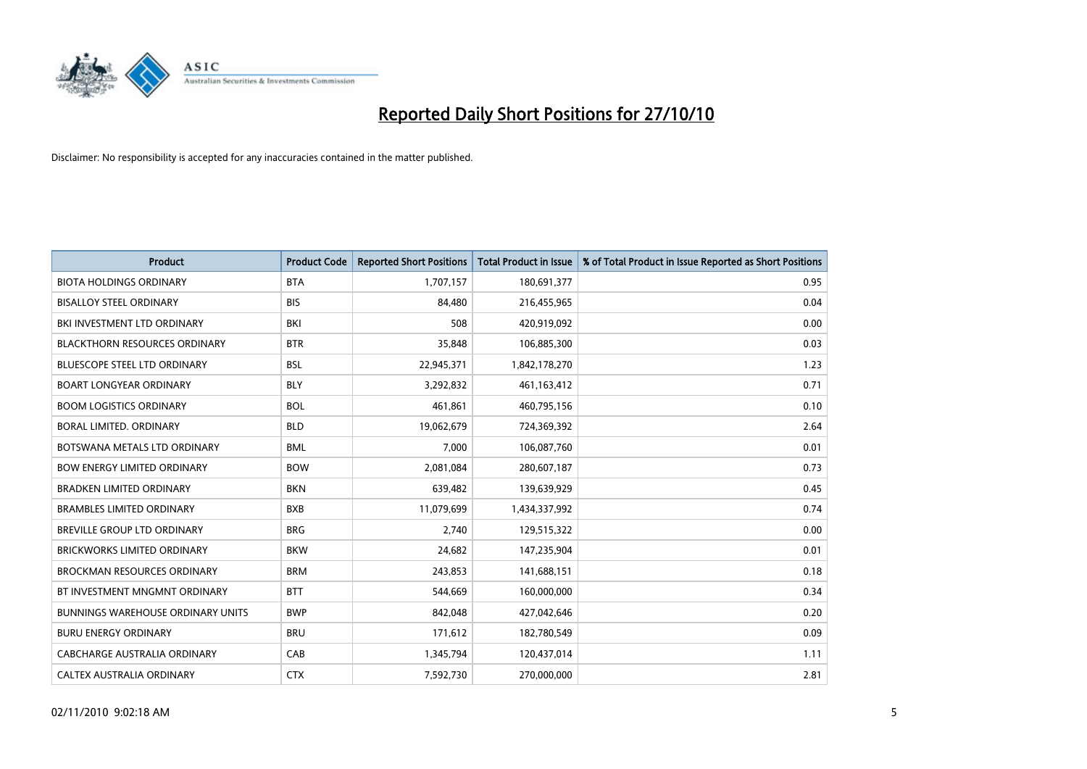

| <b>Product</b>                           | <b>Product Code</b> | <b>Reported Short Positions</b> | <b>Total Product in Issue</b> | % of Total Product in Issue Reported as Short Positions |
|------------------------------------------|---------------------|---------------------------------|-------------------------------|---------------------------------------------------------|
| <b>BIOTA HOLDINGS ORDINARY</b>           | <b>BTA</b>          | 1,707,157                       | 180,691,377                   | 0.95                                                    |
| <b>BISALLOY STEEL ORDINARY</b>           | <b>BIS</b>          | 84,480                          | 216,455,965                   | 0.04                                                    |
| BKI INVESTMENT LTD ORDINARY              | <b>BKI</b>          | 508                             | 420,919,092                   | 0.00                                                    |
| <b>BLACKTHORN RESOURCES ORDINARY</b>     | <b>BTR</b>          | 35,848                          | 106,885,300                   | 0.03                                                    |
| <b>BLUESCOPE STEEL LTD ORDINARY</b>      | <b>BSL</b>          | 22,945,371                      | 1,842,178,270                 | 1.23                                                    |
| <b>BOART LONGYEAR ORDINARY</b>           | <b>BLY</b>          | 3,292,832                       | 461,163,412                   | 0.71                                                    |
| <b>BOOM LOGISTICS ORDINARY</b>           | <b>BOL</b>          | 461,861                         | 460,795,156                   | 0.10                                                    |
| BORAL LIMITED. ORDINARY                  | <b>BLD</b>          | 19,062,679                      | 724,369,392                   | 2.64                                                    |
| BOTSWANA METALS LTD ORDINARY             | <b>BML</b>          | 7,000                           | 106,087,760                   | 0.01                                                    |
| <b>BOW ENERGY LIMITED ORDINARY</b>       | <b>BOW</b>          | 2,081,084                       | 280,607,187                   | 0.73                                                    |
| <b>BRADKEN LIMITED ORDINARY</b>          | <b>BKN</b>          | 639,482                         | 139,639,929                   | 0.45                                                    |
| <b>BRAMBLES LIMITED ORDINARY</b>         | <b>BXB</b>          | 11,079,699                      | 1,434,337,992                 | 0.74                                                    |
| BREVILLE GROUP LTD ORDINARY              | <b>BRG</b>          | 2,740                           | 129,515,322                   | 0.00                                                    |
| <b>BRICKWORKS LIMITED ORDINARY</b>       | <b>BKW</b>          | 24,682                          | 147,235,904                   | 0.01                                                    |
| <b>BROCKMAN RESOURCES ORDINARY</b>       | <b>BRM</b>          | 243,853                         | 141,688,151                   | 0.18                                                    |
| BT INVESTMENT MNGMNT ORDINARY            | <b>BTT</b>          | 544,669                         | 160,000,000                   | 0.34                                                    |
| <b>BUNNINGS WAREHOUSE ORDINARY UNITS</b> | <b>BWP</b>          | 842,048                         | 427,042,646                   | 0.20                                                    |
| <b>BURU ENERGY ORDINARY</b>              | <b>BRU</b>          | 171,612                         | 182,780,549                   | 0.09                                                    |
| CABCHARGE AUSTRALIA ORDINARY             | CAB                 | 1,345,794                       | 120,437,014                   | 1.11                                                    |
| CALTEX AUSTRALIA ORDINARY                | <b>CTX</b>          | 7,592,730                       | 270,000,000                   | 2.81                                                    |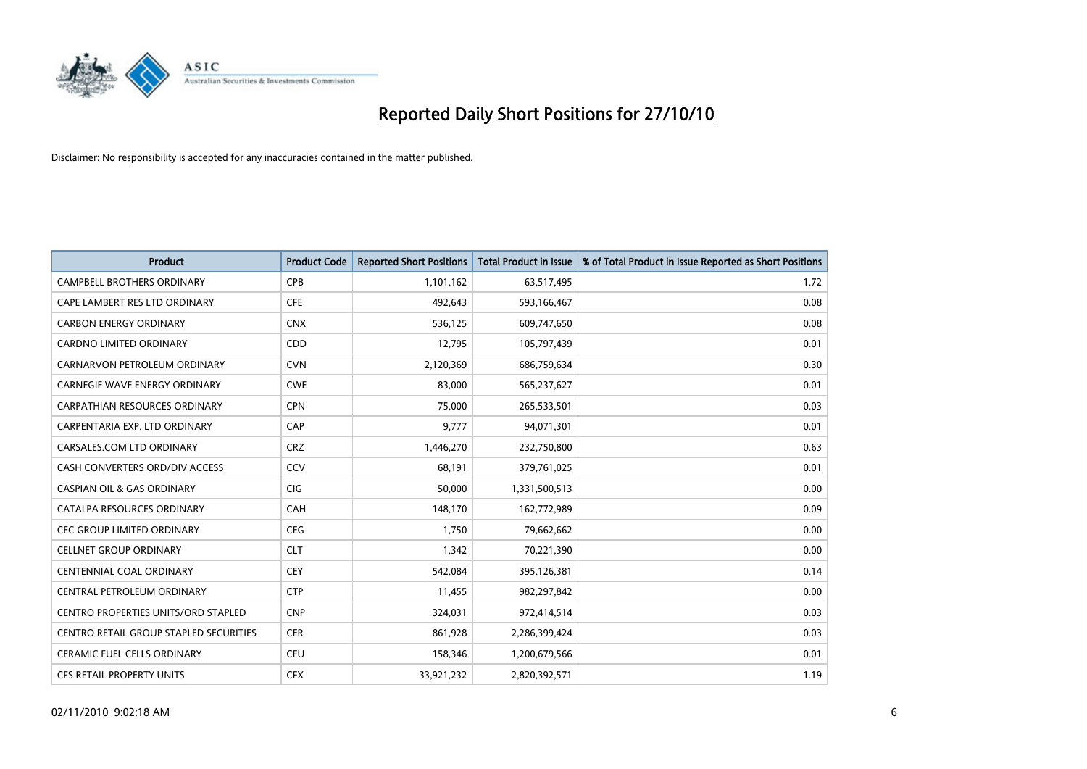

| <b>Product</b>                             | <b>Product Code</b> | <b>Reported Short Positions</b> | Total Product in Issue | % of Total Product in Issue Reported as Short Positions |
|--------------------------------------------|---------------------|---------------------------------|------------------------|---------------------------------------------------------|
| <b>CAMPBELL BROTHERS ORDINARY</b>          | <b>CPB</b>          | 1,101,162                       | 63,517,495             | 1.72                                                    |
| CAPE LAMBERT RES LTD ORDINARY              | <b>CFE</b>          | 492,643                         | 593,166,467            | 0.08                                                    |
| <b>CARBON ENERGY ORDINARY</b>              | <b>CNX</b>          | 536,125                         | 609,747,650            | 0.08                                                    |
| CARDNO LIMITED ORDINARY                    | CDD                 | 12,795                          | 105,797,439            | 0.01                                                    |
| CARNARVON PETROLEUM ORDINARY               | <b>CVN</b>          | 2,120,369                       | 686,759,634            | 0.30                                                    |
| <b>CARNEGIE WAVE ENERGY ORDINARY</b>       | <b>CWE</b>          | 83.000                          | 565,237,627            | 0.01                                                    |
| <b>CARPATHIAN RESOURCES ORDINARY</b>       | <b>CPN</b>          | 75,000                          | 265,533,501            | 0.03                                                    |
| CARPENTARIA EXP. LTD ORDINARY              | CAP                 | 9,777                           | 94,071,301             | 0.01                                                    |
| CARSALES.COM LTD ORDINARY                  | <b>CRZ</b>          | 1,446,270                       | 232,750,800            | 0.63                                                    |
| CASH CONVERTERS ORD/DIV ACCESS             | CCV                 | 68,191                          | 379,761,025            | 0.01                                                    |
| <b>CASPIAN OIL &amp; GAS ORDINARY</b>      | <b>CIG</b>          | 50,000                          | 1,331,500,513          | 0.00                                                    |
| CATALPA RESOURCES ORDINARY                 | CAH                 | 148,170                         | 162,772,989            | 0.09                                                    |
| <b>CEC GROUP LIMITED ORDINARY</b>          | <b>CEG</b>          | 1.750                           | 79,662,662             | 0.00                                                    |
| <b>CELLNET GROUP ORDINARY</b>              | <b>CLT</b>          | 1,342                           | 70,221,390             | 0.00                                                    |
| <b>CENTENNIAL COAL ORDINARY</b>            | <b>CEY</b>          | 542,084                         | 395,126,381            | 0.14                                                    |
| CENTRAL PETROLEUM ORDINARY                 | <b>CTP</b>          | 11,455                          | 982,297,842            | 0.00                                                    |
| <b>CENTRO PROPERTIES UNITS/ORD STAPLED</b> | <b>CNP</b>          | 324,031                         | 972,414,514            | 0.03                                                    |
| CENTRO RETAIL GROUP STAPLED SECURITIES     | <b>CER</b>          | 861,928                         | 2,286,399,424          | 0.03                                                    |
| <b>CERAMIC FUEL CELLS ORDINARY</b>         | <b>CFU</b>          | 158,346                         | 1,200,679,566          | 0.01                                                    |
| CFS RETAIL PROPERTY UNITS                  | <b>CFX</b>          | 33,921,232                      | 2,820,392,571          | 1.19                                                    |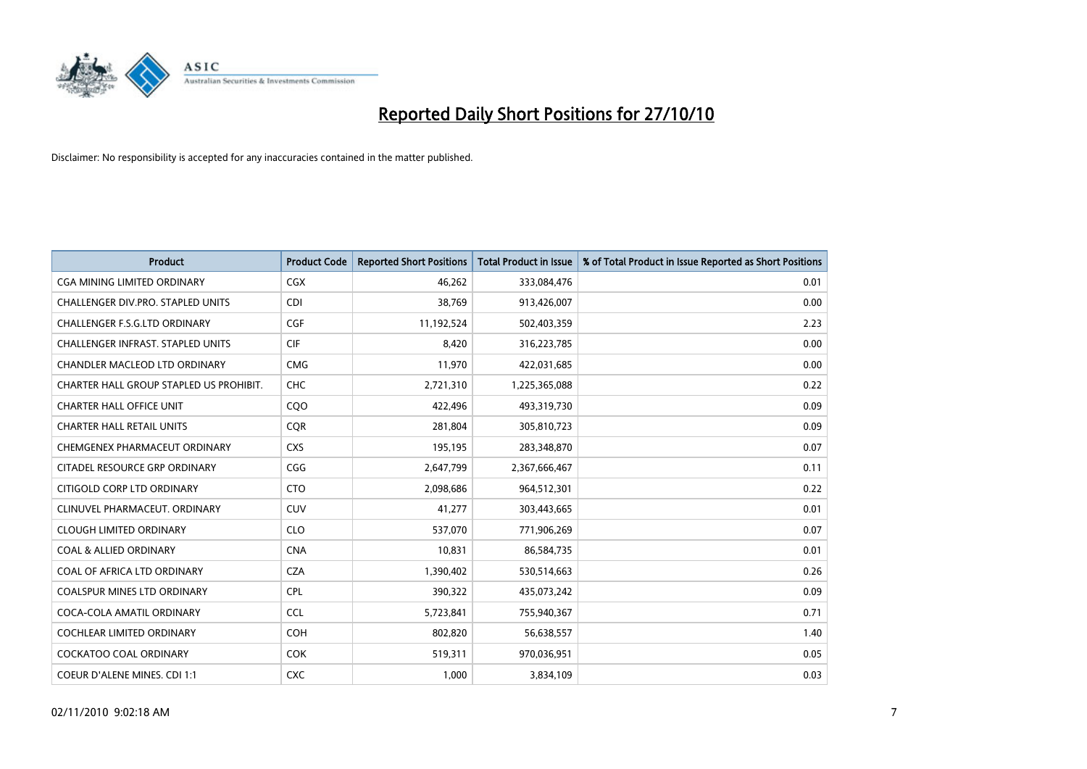

| <b>Product</b>                           | <b>Product Code</b> | <b>Reported Short Positions</b> | <b>Total Product in Issue</b> | % of Total Product in Issue Reported as Short Positions |
|------------------------------------------|---------------------|---------------------------------|-------------------------------|---------------------------------------------------------|
| <b>CGA MINING LIMITED ORDINARY</b>       | <b>CGX</b>          | 46.262                          | 333,084,476                   | 0.01                                                    |
| <b>CHALLENGER DIV.PRO. STAPLED UNITS</b> | <b>CDI</b>          | 38,769                          | 913,426,007                   | 0.00                                                    |
| <b>CHALLENGER F.S.G.LTD ORDINARY</b>     | CGF                 | 11,192,524                      | 502,403,359                   | 2.23                                                    |
| CHALLENGER INFRAST. STAPLED UNITS        | <b>CIF</b>          | 8,420                           | 316,223,785                   | 0.00                                                    |
| <b>CHANDLER MACLEOD LTD ORDINARY</b>     | <b>CMG</b>          | 11,970                          | 422,031,685                   | 0.00                                                    |
| CHARTER HALL GROUP STAPLED US PROHIBIT.  | <b>CHC</b>          | 2,721,310                       | 1,225,365,088                 | 0.22                                                    |
| CHARTER HALL OFFICE UNIT                 | COO                 | 422,496                         | 493,319,730                   | 0.09                                                    |
| <b>CHARTER HALL RETAIL UNITS</b>         | <b>COR</b>          | 281,804                         | 305,810,723                   | 0.09                                                    |
| CHEMGENEX PHARMACEUT ORDINARY            | <b>CXS</b>          | 195,195                         | 283,348,870                   | 0.07                                                    |
| CITADEL RESOURCE GRP ORDINARY            | CGG                 | 2,647,799                       | 2,367,666,467                 | 0.11                                                    |
| CITIGOLD CORP LTD ORDINARY               | <b>CTO</b>          | 2,098,686                       | 964,512,301                   | 0.22                                                    |
| CLINUVEL PHARMACEUT. ORDINARY            | <b>CUV</b>          | 41,277                          | 303,443,665                   | 0.01                                                    |
| <b>CLOUGH LIMITED ORDINARY</b>           | <b>CLO</b>          | 537,070                         | 771,906,269                   | 0.07                                                    |
| <b>COAL &amp; ALLIED ORDINARY</b>        | <b>CNA</b>          | 10,831                          | 86,584,735                    | 0.01                                                    |
| COAL OF AFRICA LTD ORDINARY              | <b>CZA</b>          | 1,390,402                       | 530,514,663                   | 0.26                                                    |
| <b>COALSPUR MINES LTD ORDINARY</b>       | <b>CPL</b>          | 390,322                         | 435,073,242                   | 0.09                                                    |
| COCA-COLA AMATIL ORDINARY                | <b>CCL</b>          | 5,723,841                       | 755,940,367                   | 0.71                                                    |
| COCHLEAR LIMITED ORDINARY                | <b>COH</b>          | 802,820                         | 56,638,557                    | 1.40                                                    |
| <b>COCKATOO COAL ORDINARY</b>            | <b>COK</b>          | 519,311                         | 970,036,951                   | 0.05                                                    |
| COEUR D'ALENE MINES. CDI 1:1             | <b>CXC</b>          | 1,000                           | 3,834,109                     | 0.03                                                    |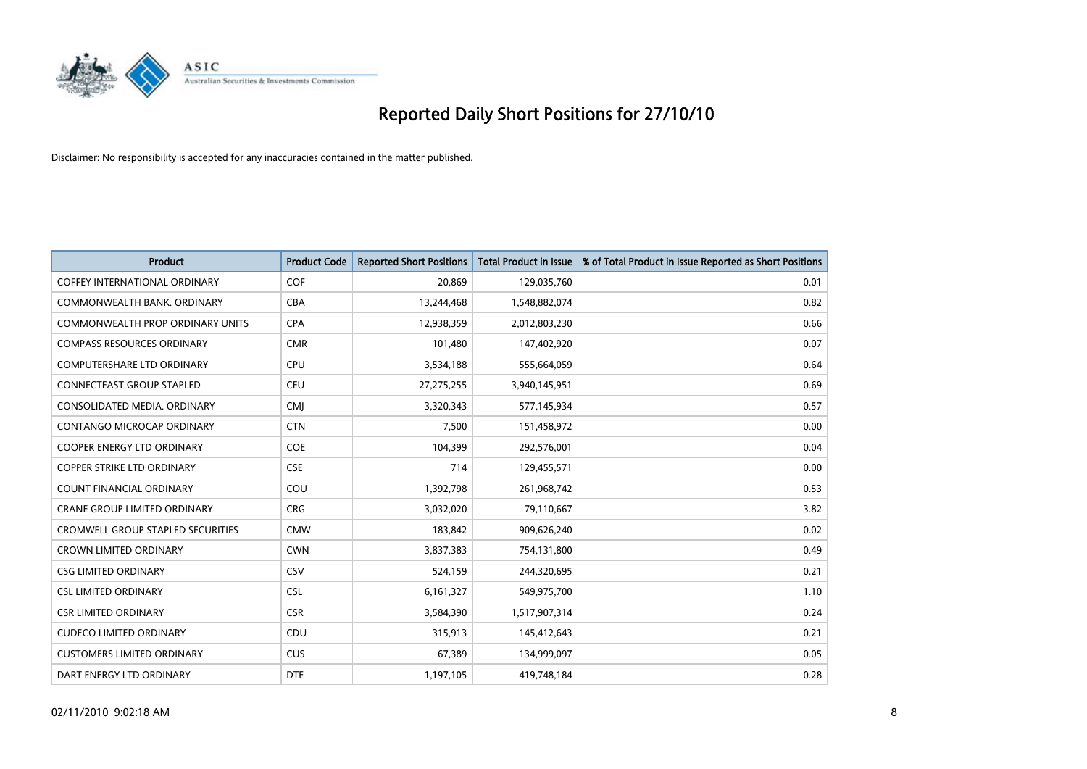

| <b>Product</b>                           | <b>Product Code</b> | <b>Reported Short Positions</b> | <b>Total Product in Issue</b> | % of Total Product in Issue Reported as Short Positions |
|------------------------------------------|---------------------|---------------------------------|-------------------------------|---------------------------------------------------------|
| <b>COFFEY INTERNATIONAL ORDINARY</b>     | COF                 | 20.869                          | 129,035,760                   | 0.01                                                    |
| COMMONWEALTH BANK, ORDINARY              | <b>CBA</b>          | 13,244,468                      | 1,548,882,074                 | 0.82                                                    |
| COMMONWEALTH PROP ORDINARY UNITS         | <b>CPA</b>          | 12,938,359                      | 2,012,803,230                 | 0.66                                                    |
| <b>COMPASS RESOURCES ORDINARY</b>        | <b>CMR</b>          | 101,480                         | 147,402,920                   | 0.07                                                    |
| <b>COMPUTERSHARE LTD ORDINARY</b>        | <b>CPU</b>          | 3,534,188                       | 555,664,059                   | 0.64                                                    |
| CONNECTEAST GROUP STAPLED                | <b>CEU</b>          | 27,275,255                      | 3,940,145,951                 | 0.69                                                    |
| CONSOLIDATED MEDIA, ORDINARY             | <b>CMI</b>          | 3,320,343                       | 577,145,934                   | 0.57                                                    |
| CONTANGO MICROCAP ORDINARY               | <b>CTN</b>          | 7,500                           | 151,458,972                   | 0.00                                                    |
| <b>COOPER ENERGY LTD ORDINARY</b>        | <b>COE</b>          | 104,399                         | 292,576,001                   | 0.04                                                    |
| <b>COPPER STRIKE LTD ORDINARY</b>        | <b>CSE</b>          | 714                             | 129,455,571                   | 0.00                                                    |
| <b>COUNT FINANCIAL ORDINARY</b>          | COU                 | 1,392,798                       | 261,968,742                   | 0.53                                                    |
| <b>CRANE GROUP LIMITED ORDINARY</b>      | <b>CRG</b>          | 3,032,020                       | 79,110,667                    | 3.82                                                    |
| <b>CROMWELL GROUP STAPLED SECURITIES</b> | <b>CMW</b>          | 183,842                         | 909,626,240                   | 0.02                                                    |
| <b>CROWN LIMITED ORDINARY</b>            | <b>CWN</b>          | 3,837,383                       | 754,131,800                   | 0.49                                                    |
| <b>CSG LIMITED ORDINARY</b>              | CSV                 | 524,159                         | 244,320,695                   | 0.21                                                    |
| <b>CSL LIMITED ORDINARY</b>              | <b>CSL</b>          | 6,161,327                       | 549,975,700                   | 1.10                                                    |
| <b>CSR LIMITED ORDINARY</b>              | <b>CSR</b>          | 3,584,390                       | 1,517,907,314                 | 0.24                                                    |
| <b>CUDECO LIMITED ORDINARY</b>           | CDU                 | 315,913                         | 145,412,643                   | 0.21                                                    |
| <b>CUSTOMERS LIMITED ORDINARY</b>        | CUS                 | 67,389                          | 134,999,097                   | 0.05                                                    |
| DART ENERGY LTD ORDINARY                 | <b>DTE</b>          | 1,197,105                       | 419,748,184                   | 0.28                                                    |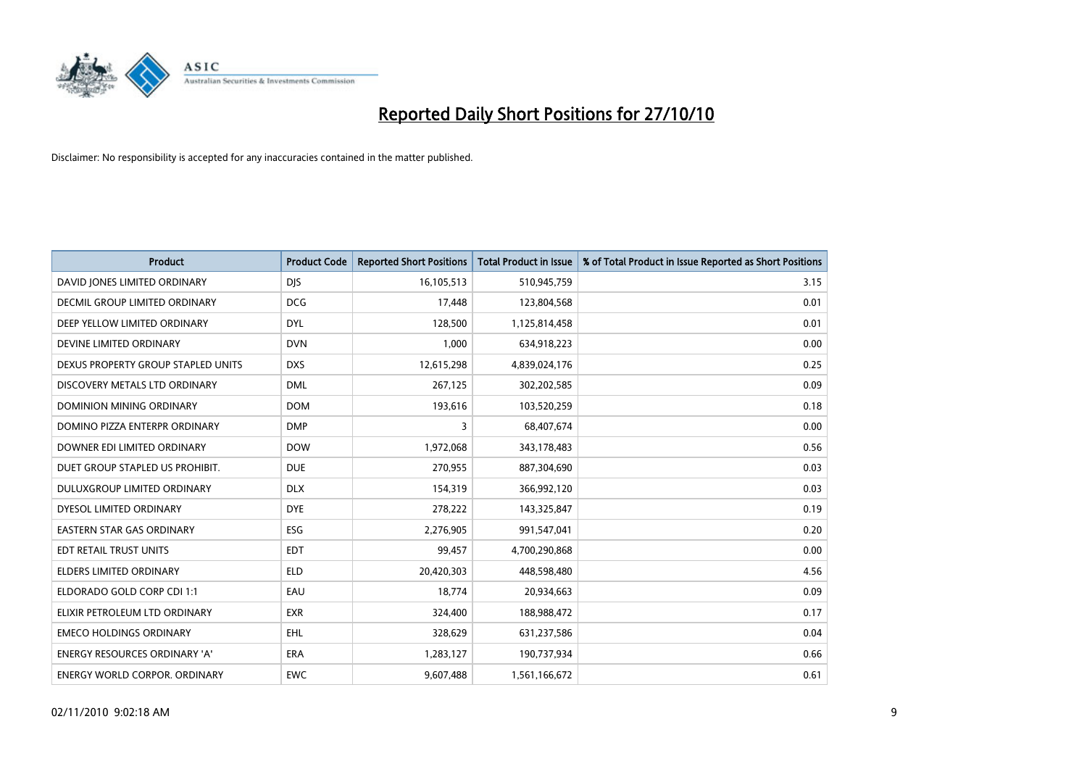

| <b>Product</b>                       | <b>Product Code</b> | <b>Reported Short Positions</b> | <b>Total Product in Issue</b> | % of Total Product in Issue Reported as Short Positions |
|--------------------------------------|---------------------|---------------------------------|-------------------------------|---------------------------------------------------------|
| DAVID JONES LIMITED ORDINARY         | <b>DJS</b>          | 16,105,513                      | 510,945,759                   | 3.15                                                    |
| DECMIL GROUP LIMITED ORDINARY        | <b>DCG</b>          | 17,448                          | 123,804,568                   | 0.01                                                    |
| DEEP YELLOW LIMITED ORDINARY         | <b>DYL</b>          | 128,500                         | 1,125,814,458                 | 0.01                                                    |
| DEVINE LIMITED ORDINARY              | <b>DVN</b>          | 1,000                           | 634,918,223                   | 0.00                                                    |
| DEXUS PROPERTY GROUP STAPLED UNITS   | <b>DXS</b>          | 12,615,298                      | 4,839,024,176                 | 0.25                                                    |
| DISCOVERY METALS LTD ORDINARY        | <b>DML</b>          | 267,125                         | 302,202,585                   | 0.09                                                    |
| DOMINION MINING ORDINARY             | <b>DOM</b>          | 193,616                         | 103,520,259                   | 0.18                                                    |
| DOMINO PIZZA ENTERPR ORDINARY        | <b>DMP</b>          | 3                               | 68,407,674                    | 0.00                                                    |
| DOWNER EDI LIMITED ORDINARY          | <b>DOW</b>          | 1,972,068                       | 343,178,483                   | 0.56                                                    |
| DUET GROUP STAPLED US PROHIBIT.      | <b>DUE</b>          | 270,955                         | 887,304,690                   | 0.03                                                    |
| <b>DULUXGROUP LIMITED ORDINARY</b>   | <b>DLX</b>          | 154,319                         | 366,992,120                   | 0.03                                                    |
| DYESOL LIMITED ORDINARY              | <b>DYE</b>          | 278,222                         | 143,325,847                   | 0.19                                                    |
| EASTERN STAR GAS ORDINARY            | <b>ESG</b>          | 2,276,905                       | 991,547,041                   | 0.20                                                    |
| EDT RETAIL TRUST UNITS               | <b>EDT</b>          | 99,457                          | 4,700,290,868                 | 0.00                                                    |
| <b>ELDERS LIMITED ORDINARY</b>       | <b>ELD</b>          | 20,420,303                      | 448,598,480                   | 4.56                                                    |
| ELDORADO GOLD CORP CDI 1:1           | EAU                 | 18,774                          | 20,934,663                    | 0.09                                                    |
| ELIXIR PETROLEUM LTD ORDINARY        | <b>EXR</b>          | 324,400                         | 188,988,472                   | 0.17                                                    |
| <b>EMECO HOLDINGS ORDINARY</b>       | EHL.                | 328,629                         | 631,237,586                   | 0.04                                                    |
| <b>ENERGY RESOURCES ORDINARY 'A'</b> | <b>ERA</b>          | 1,283,127                       | 190,737,934                   | 0.66                                                    |
| ENERGY WORLD CORPOR, ORDINARY        | <b>EWC</b>          | 9,607,488                       | 1,561,166,672                 | 0.61                                                    |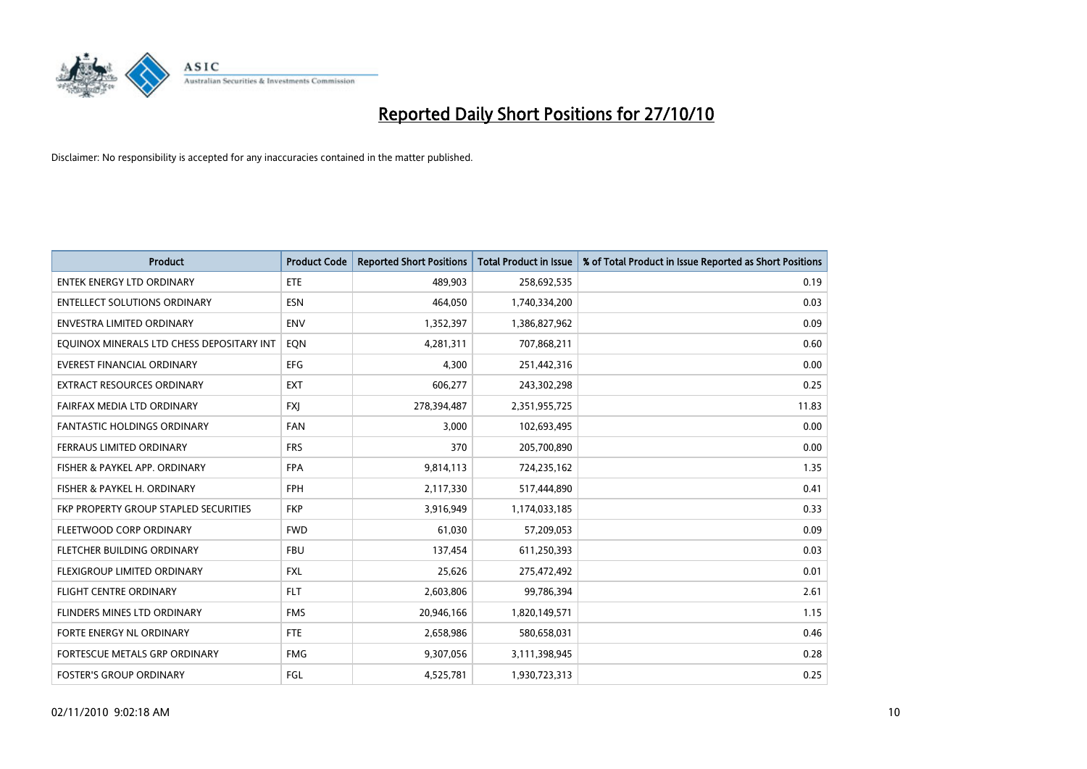

| <b>Product</b>                            | <b>Product Code</b> | <b>Reported Short Positions</b> | Total Product in Issue | % of Total Product in Issue Reported as Short Positions |
|-------------------------------------------|---------------------|---------------------------------|------------------------|---------------------------------------------------------|
| <b>ENTEK ENERGY LTD ORDINARY</b>          | ETE                 | 489,903                         | 258,692,535            | 0.19                                                    |
| <b>ENTELLECT SOLUTIONS ORDINARY</b>       | <b>ESN</b>          | 464,050                         | 1,740,334,200          | 0.03                                                    |
| <b>ENVESTRA LIMITED ORDINARY</b>          | <b>ENV</b>          | 1,352,397                       | 1,386,827,962          | 0.09                                                    |
| EQUINOX MINERALS LTD CHESS DEPOSITARY INT | EQN                 | 4,281,311                       | 707,868,211            | 0.60                                                    |
| <b>EVEREST FINANCIAL ORDINARY</b>         | <b>EFG</b>          | 4,300                           | 251,442,316            | 0.00                                                    |
| <b>EXTRACT RESOURCES ORDINARY</b>         | <b>EXT</b>          | 606,277                         | 243,302,298            | 0.25                                                    |
| FAIRFAX MEDIA LTD ORDINARY                | <b>FXI</b>          | 278,394,487                     | 2,351,955,725          | 11.83                                                   |
| FANTASTIC HOLDINGS ORDINARY               | <b>FAN</b>          | 3,000                           | 102,693,495            | 0.00                                                    |
| FERRAUS LIMITED ORDINARY                  | <b>FRS</b>          | 370                             | 205,700,890            | 0.00                                                    |
| FISHER & PAYKEL APP. ORDINARY             | <b>FPA</b>          | 9,814,113                       | 724,235,162            | 1.35                                                    |
| FISHER & PAYKEL H. ORDINARY               | <b>FPH</b>          | 2,117,330                       | 517,444,890            | 0.41                                                    |
| FKP PROPERTY GROUP STAPLED SECURITIES     | <b>FKP</b>          | 3,916,949                       | 1,174,033,185          | 0.33                                                    |
| FLEETWOOD CORP ORDINARY                   | <b>FWD</b>          | 61,030                          | 57,209,053             | 0.09                                                    |
| FLETCHER BUILDING ORDINARY                | <b>FBU</b>          | 137,454                         | 611,250,393            | 0.03                                                    |
| FLEXIGROUP LIMITED ORDINARY               | <b>FXL</b>          | 25,626                          | 275,472,492            | 0.01                                                    |
| <b>FLIGHT CENTRE ORDINARY</b>             | <b>FLT</b>          | 2,603,806                       | 99,786,394             | 2.61                                                    |
| FLINDERS MINES LTD ORDINARY               | <b>FMS</b>          | 20,946,166                      | 1,820,149,571          | 1.15                                                    |
| FORTE ENERGY NL ORDINARY                  | <b>FTE</b>          | 2,658,986                       | 580,658,031            | 0.46                                                    |
| FORTESCUE METALS GRP ORDINARY             | <b>FMG</b>          | 9,307,056                       | 3,111,398,945          | 0.28                                                    |
| <b>FOSTER'S GROUP ORDINARY</b>            | FGL                 | 4,525,781                       | 1,930,723,313          | 0.25                                                    |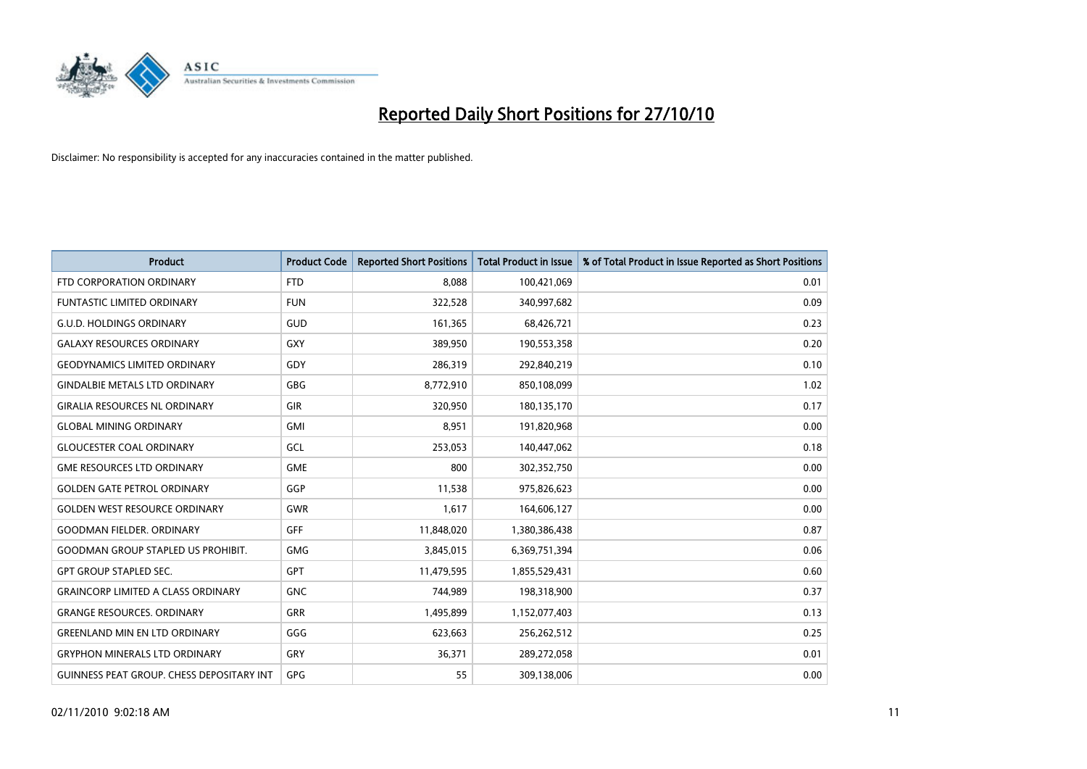

| <b>Product</b>                                   | <b>Product Code</b> | <b>Reported Short Positions</b> | Total Product in Issue | % of Total Product in Issue Reported as Short Positions |
|--------------------------------------------------|---------------------|---------------------------------|------------------------|---------------------------------------------------------|
| FTD CORPORATION ORDINARY                         | <b>FTD</b>          | 8,088                           | 100,421,069            | 0.01                                                    |
| <b>FUNTASTIC LIMITED ORDINARY</b>                | <b>FUN</b>          | 322,528                         | 340,997,682            | 0.09                                                    |
| <b>G.U.D. HOLDINGS ORDINARY</b>                  | GUD                 | 161,365                         | 68,426,721             | 0.23                                                    |
| <b>GALAXY RESOURCES ORDINARY</b>                 | <b>GXY</b>          | 389,950                         | 190,553,358            | 0.20                                                    |
| <b>GEODYNAMICS LIMITED ORDINARY</b>              | GDY                 | 286,319                         | 292,840,219            | 0.10                                                    |
| <b>GINDALBIE METALS LTD ORDINARY</b>             | <b>GBG</b>          | 8,772,910                       | 850,108,099            | 1.02                                                    |
| <b>GIRALIA RESOURCES NL ORDINARY</b>             | <b>GIR</b>          | 320.950                         | 180,135,170            | 0.17                                                    |
| <b>GLOBAL MINING ORDINARY</b>                    | <b>GMI</b>          | 8,951                           | 191,820,968            | 0.00                                                    |
| <b>GLOUCESTER COAL ORDINARY</b>                  | GCL                 | 253,053                         | 140,447,062            | 0.18                                                    |
| <b>GME RESOURCES LTD ORDINARY</b>                | <b>GME</b>          | 800                             | 302,352,750            | 0.00                                                    |
| <b>GOLDEN GATE PETROL ORDINARY</b>               | GGP                 | 11,538                          | 975,826,623            | 0.00                                                    |
| <b>GOLDEN WEST RESOURCE ORDINARY</b>             | GWR                 | 1,617                           | 164,606,127            | 0.00                                                    |
| <b>GOODMAN FIELDER, ORDINARY</b>                 | <b>GFF</b>          | 11,848,020                      | 1,380,386,438          | 0.87                                                    |
| <b>GOODMAN GROUP STAPLED US PROHIBIT.</b>        | <b>GMG</b>          | 3,845,015                       | 6,369,751,394          | 0.06                                                    |
| <b>GPT GROUP STAPLED SEC.</b>                    | <b>GPT</b>          | 11,479,595                      | 1,855,529,431          | 0.60                                                    |
| <b>GRAINCORP LIMITED A CLASS ORDINARY</b>        | <b>GNC</b>          | 744.989                         | 198,318,900            | 0.37                                                    |
| <b>GRANGE RESOURCES, ORDINARY</b>                | <b>GRR</b>          | 1,495,899                       | 1,152,077,403          | 0.13                                                    |
| <b>GREENLAND MIN EN LTD ORDINARY</b>             | GGG                 | 623,663                         | 256,262,512            | 0.25                                                    |
| <b>GRYPHON MINERALS LTD ORDINARY</b>             | GRY                 | 36,371                          | 289,272,058            | 0.01                                                    |
| <b>GUINNESS PEAT GROUP. CHESS DEPOSITARY INT</b> | <b>GPG</b>          | 55                              | 309,138,006            | 0.00                                                    |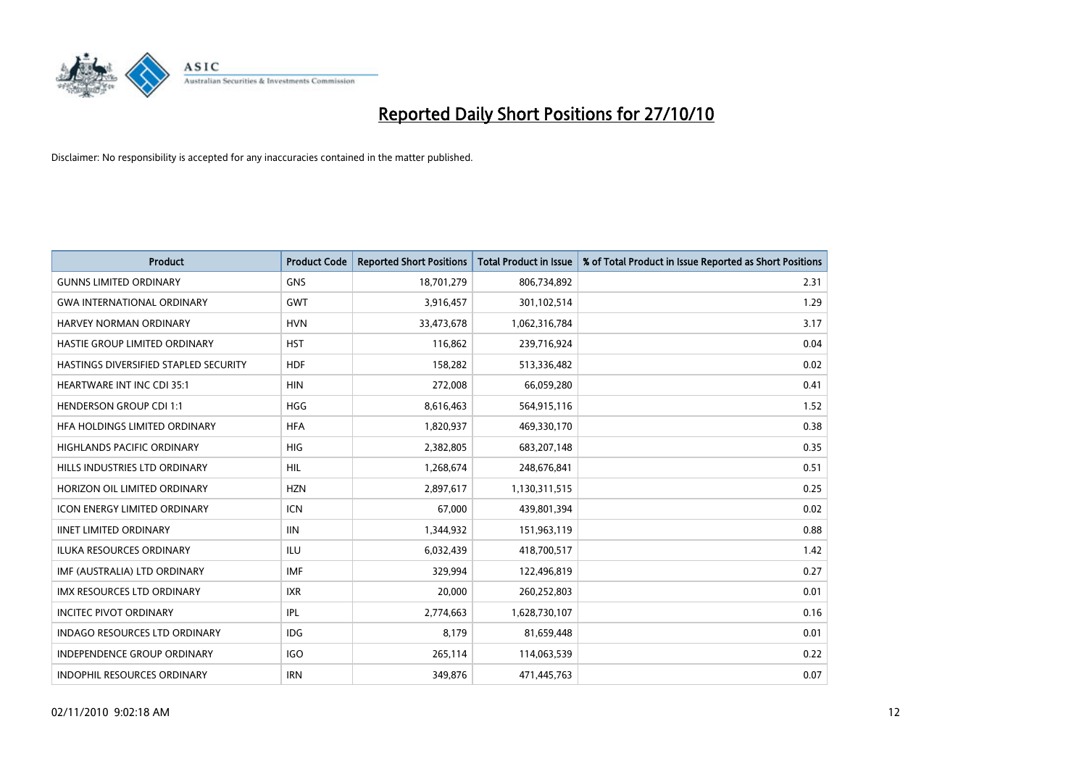

| <b>Product</b>                        | <b>Product Code</b> | <b>Reported Short Positions</b> | Total Product in Issue | % of Total Product in Issue Reported as Short Positions |
|---------------------------------------|---------------------|---------------------------------|------------------------|---------------------------------------------------------|
| <b>GUNNS LIMITED ORDINARY</b>         | <b>GNS</b>          | 18,701,279                      | 806,734,892            | 2.31                                                    |
| <b>GWA INTERNATIONAL ORDINARY</b>     | <b>GWT</b>          | 3,916,457                       | 301,102,514            | 1.29                                                    |
| HARVEY NORMAN ORDINARY                | <b>HVN</b>          | 33,473,678                      | 1,062,316,784          | 3.17                                                    |
| HASTIE GROUP LIMITED ORDINARY         | <b>HST</b>          | 116,862                         | 239,716,924            | 0.04                                                    |
| HASTINGS DIVERSIFIED STAPLED SECURITY | <b>HDF</b>          | 158,282                         | 513,336,482            | 0.02                                                    |
| <b>HEARTWARE INT INC CDI 35:1</b>     | <b>HIN</b>          | 272,008                         | 66,059,280             | 0.41                                                    |
| <b>HENDERSON GROUP CDI 1:1</b>        | <b>HGG</b>          | 8,616,463                       | 564,915,116            | 1.52                                                    |
| HFA HOLDINGS LIMITED ORDINARY         | <b>HFA</b>          | 1,820,937                       | 469,330,170            | 0.38                                                    |
| <b>HIGHLANDS PACIFIC ORDINARY</b>     | <b>HIG</b>          | 2,382,805                       | 683,207,148            | 0.35                                                    |
| HILLS INDUSTRIES LTD ORDINARY         | <b>HIL</b>          | 1,268,674                       | 248,676,841            | 0.51                                                    |
| HORIZON OIL LIMITED ORDINARY          | <b>HZN</b>          | 2,897,617                       | 1,130,311,515          | 0.25                                                    |
| <b>ICON ENERGY LIMITED ORDINARY</b>   | <b>ICN</b>          | 67,000                          | 439,801,394            | 0.02                                                    |
| <b>IINET LIMITED ORDINARY</b>         | <b>IIN</b>          | 1,344,932                       | 151,963,119            | 0.88                                                    |
| ILUKA RESOURCES ORDINARY              | ILU                 | 6,032,439                       | 418,700,517            | 1.42                                                    |
| IMF (AUSTRALIA) LTD ORDINARY          | IMF                 | 329,994                         | 122,496,819            | 0.27                                                    |
| IMX RESOURCES LTD ORDINARY            | <b>IXR</b>          | 20,000                          | 260,252,803            | 0.01                                                    |
| <b>INCITEC PIVOT ORDINARY</b>         | <b>IPL</b>          | 2,774,663                       | 1,628,730,107          | 0.16                                                    |
| INDAGO RESOURCES LTD ORDINARY         | <b>IDG</b>          | 8,179                           | 81,659,448             | 0.01                                                    |
| <b>INDEPENDENCE GROUP ORDINARY</b>    | <b>IGO</b>          | 265,114                         | 114,063,539            | 0.22                                                    |
| INDOPHIL RESOURCES ORDINARY           | <b>IRN</b>          | 349,876                         | 471,445,763            | 0.07                                                    |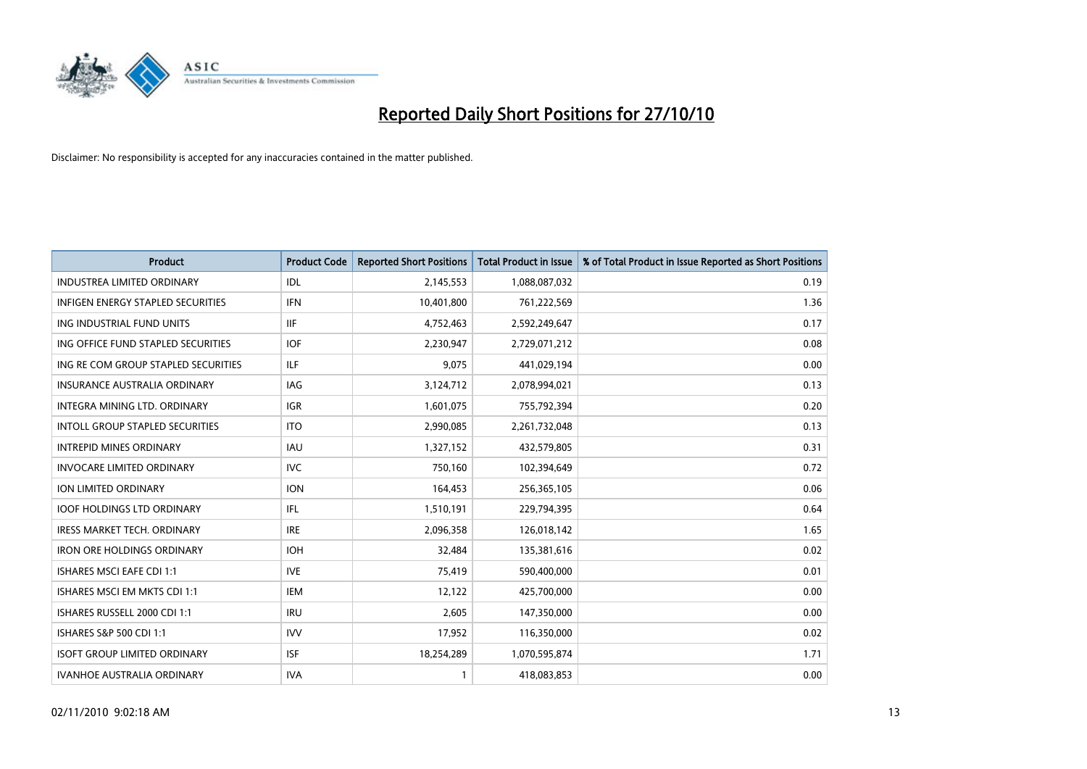

| <b>Product</b>                         | <b>Product Code</b> | <b>Reported Short Positions</b> | Total Product in Issue | % of Total Product in Issue Reported as Short Positions |
|----------------------------------------|---------------------|---------------------------------|------------------------|---------------------------------------------------------|
| <b>INDUSTREA LIMITED ORDINARY</b>      | IDL                 | 2,145,553                       | 1,088,087,032          | 0.19                                                    |
| INFIGEN ENERGY STAPLED SECURITIES      | <b>IFN</b>          | 10,401,800                      | 761,222,569            | 1.36                                                    |
| ING INDUSTRIAL FUND UNITS              | <b>IIF</b>          | 4,752,463                       | 2,592,249,647          | 0.17                                                    |
| ING OFFICE FUND STAPLED SECURITIES     | <b>IOF</b>          | 2,230,947                       | 2,729,071,212          | 0.08                                                    |
| ING RE COM GROUP STAPLED SECURITIES    | <b>ILF</b>          | 9,075                           | 441,029,194            | 0.00                                                    |
| <b>INSURANCE AUSTRALIA ORDINARY</b>    | IAG                 | 3,124,712                       | 2,078,994,021          | 0.13                                                    |
| INTEGRA MINING LTD, ORDINARY           | <b>IGR</b>          | 1,601,075                       | 755,792,394            | 0.20                                                    |
| <b>INTOLL GROUP STAPLED SECURITIES</b> | <b>ITO</b>          | 2,990,085                       | 2,261,732,048          | 0.13                                                    |
| <b>INTREPID MINES ORDINARY</b>         | <b>IAU</b>          | 1,327,152                       | 432,579,805            | 0.31                                                    |
| <b>INVOCARE LIMITED ORDINARY</b>       | <b>IVC</b>          | 750,160                         | 102,394,649            | 0.72                                                    |
| ION LIMITED ORDINARY                   | <b>ION</b>          | 164,453                         | 256,365,105            | 0.06                                                    |
| <b>IOOF HOLDINGS LTD ORDINARY</b>      | IFL.                | 1,510,191                       | 229,794,395            | 0.64                                                    |
| <b>IRESS MARKET TECH. ORDINARY</b>     | <b>IRE</b>          | 2,096,358                       | 126,018,142            | 1.65                                                    |
| <b>IRON ORE HOLDINGS ORDINARY</b>      | <b>IOH</b>          | 32,484                          | 135,381,616            | 0.02                                                    |
| <b>ISHARES MSCI EAFE CDI 1:1</b>       | <b>IVE</b>          | 75,419                          | 590,400,000            | 0.01                                                    |
| ISHARES MSCI EM MKTS CDI 1:1           | <b>IEM</b>          | 12,122                          | 425,700,000            | 0.00                                                    |
| ISHARES RUSSELL 2000 CDI 1:1           | <b>IRU</b>          | 2,605                           | 147,350,000            | 0.00                                                    |
| ISHARES S&P 500 CDI 1:1                | <b>IVV</b>          | 17,952                          | 116,350,000            | 0.02                                                    |
| <b>ISOFT GROUP LIMITED ORDINARY</b>    | <b>ISF</b>          | 18,254,289                      | 1,070,595,874          | 1.71                                                    |
| <b>IVANHOE AUSTRALIA ORDINARY</b>      | <b>IVA</b>          |                                 | 418,083,853            | 0.00                                                    |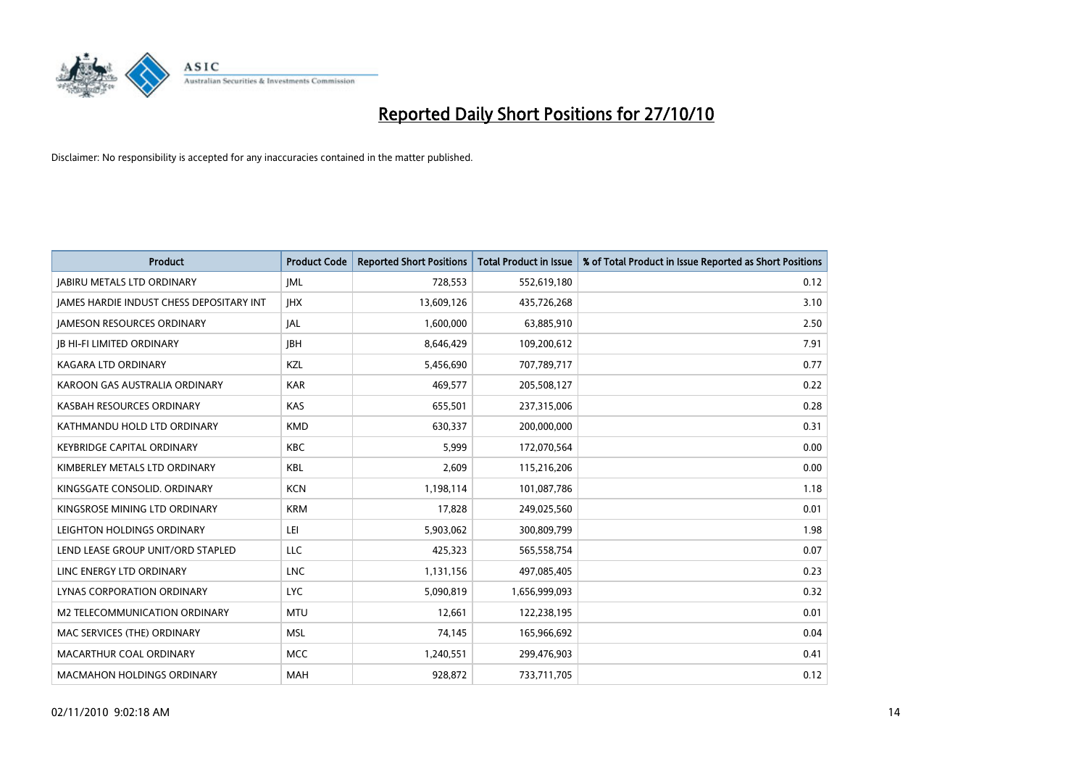

| <b>Product</b>                                  | <b>Product Code</b> | <b>Reported Short Positions</b> | Total Product in Issue | % of Total Product in Issue Reported as Short Positions |
|-------------------------------------------------|---------------------|---------------------------------|------------------------|---------------------------------------------------------|
| <b>JABIRU METALS LTD ORDINARY</b>               | <b>JML</b>          | 728,553                         | 552,619,180            | 0.12                                                    |
| <b>JAMES HARDIE INDUST CHESS DEPOSITARY INT</b> | <b>IHX</b>          | 13,609,126                      | 435,726,268            | 3.10                                                    |
| <b>JAMESON RESOURCES ORDINARY</b>               | JAL                 | 1,600,000                       | 63,885,910             | 2.50                                                    |
| <b>JB HI-FI LIMITED ORDINARY</b>                | <b>IBH</b>          | 8,646,429                       | 109,200,612            | 7.91                                                    |
| <b>KAGARA LTD ORDINARY</b>                      | KZL                 | 5,456,690                       | 707,789,717            | 0.77                                                    |
| KAROON GAS AUSTRALIA ORDINARY                   | <b>KAR</b>          | 469.577                         | 205,508,127            | 0.22                                                    |
| KASBAH RESOURCES ORDINARY                       | <b>KAS</b>          | 655,501                         | 237,315,006            | 0.28                                                    |
| KATHMANDU HOLD LTD ORDINARY                     | <b>KMD</b>          | 630,337                         | 200,000,000            | 0.31                                                    |
| <b>KEYBRIDGE CAPITAL ORDINARY</b>               | <b>KBC</b>          | 5,999                           | 172,070,564            | 0.00                                                    |
| KIMBERLEY METALS LTD ORDINARY                   | <b>KBL</b>          | 2,609                           | 115,216,206            | 0.00                                                    |
| KINGSGATE CONSOLID, ORDINARY                    | <b>KCN</b>          | 1,198,114                       | 101,087,786            | 1.18                                                    |
| KINGSROSE MINING LTD ORDINARY                   | <b>KRM</b>          | 17,828                          | 249,025,560            | 0.01                                                    |
| LEIGHTON HOLDINGS ORDINARY                      | LEI                 | 5,903,062                       | 300,809,799            | 1.98                                                    |
| LEND LEASE GROUP UNIT/ORD STAPLED               | LLC                 | 425,323                         | 565,558,754            | 0.07                                                    |
| LINC ENERGY LTD ORDINARY                        | <b>LNC</b>          | 1,131,156                       | 497,085,405            | 0.23                                                    |
| LYNAS CORPORATION ORDINARY                      | <b>LYC</b>          | 5,090,819                       | 1,656,999,093          | 0.32                                                    |
| M2 TELECOMMUNICATION ORDINARY                   | <b>MTU</b>          | 12,661                          | 122,238,195            | 0.01                                                    |
| MAC SERVICES (THE) ORDINARY                     | <b>MSL</b>          | 74,145                          | 165,966,692            | 0.04                                                    |
| MACARTHUR COAL ORDINARY                         | <b>MCC</b>          | 1,240,551                       | 299,476,903            | 0.41                                                    |
| <b>MACMAHON HOLDINGS ORDINARY</b>               | MAH                 | 928,872                         | 733,711,705            | 0.12                                                    |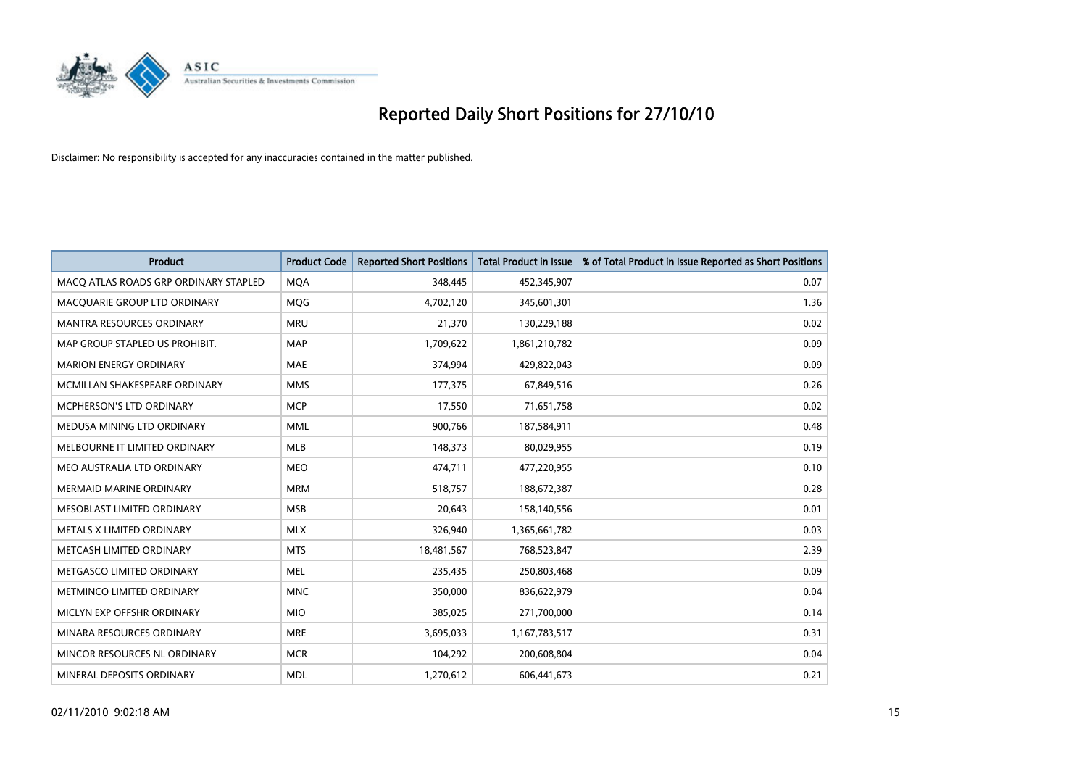

| <b>Product</b>                        | <b>Product Code</b> | <b>Reported Short Positions</b> | Total Product in Issue | % of Total Product in Issue Reported as Short Positions |
|---------------------------------------|---------------------|---------------------------------|------------------------|---------------------------------------------------------|
| MACQ ATLAS ROADS GRP ORDINARY STAPLED | <b>MQA</b>          | 348,445                         | 452,345,907            | 0.07                                                    |
| MACQUARIE GROUP LTD ORDINARY          | <b>MOG</b>          | 4,702,120                       | 345,601,301            | 1.36                                                    |
| <b>MANTRA RESOURCES ORDINARY</b>      | <b>MRU</b>          | 21,370                          | 130,229,188            | 0.02                                                    |
| MAP GROUP STAPLED US PROHIBIT.        | <b>MAP</b>          | 1,709,622                       | 1,861,210,782          | 0.09                                                    |
| <b>MARION ENERGY ORDINARY</b>         | <b>MAE</b>          | 374,994                         | 429,822,043            | 0.09                                                    |
| MCMILLAN SHAKESPEARE ORDINARY         | <b>MMS</b>          | 177,375                         | 67,849,516             | 0.26                                                    |
| MCPHERSON'S LTD ORDINARY              | <b>MCP</b>          | 17,550                          | 71,651,758             | 0.02                                                    |
| MEDUSA MINING LTD ORDINARY            | <b>MML</b>          | 900,766                         | 187,584,911            | 0.48                                                    |
| MELBOURNE IT LIMITED ORDINARY         | MLB                 | 148,373                         | 80,029,955             | 0.19                                                    |
| MEO AUSTRALIA LTD ORDINARY            | <b>MEO</b>          | 474,711                         | 477,220,955            | 0.10                                                    |
| MERMAID MARINE ORDINARY               | <b>MRM</b>          | 518,757                         | 188,672,387            | 0.28                                                    |
| MESOBLAST LIMITED ORDINARY            | <b>MSB</b>          | 20,643                          | 158,140,556            | 0.01                                                    |
| METALS X LIMITED ORDINARY             | <b>MLX</b>          | 326,940                         | 1,365,661,782          | 0.03                                                    |
| METCASH LIMITED ORDINARY              | <b>MTS</b>          | 18,481,567                      | 768,523,847            | 2.39                                                    |
| METGASCO LIMITED ORDINARY             | <b>MEL</b>          | 235,435                         | 250,803,468            | 0.09                                                    |
| METMINCO LIMITED ORDINARY             | <b>MNC</b>          | 350,000                         | 836,622,979            | 0.04                                                    |
| MICLYN EXP OFFSHR ORDINARY            | <b>MIO</b>          | 385,025                         | 271,700,000            | 0.14                                                    |
| MINARA RESOURCES ORDINARY             | <b>MRE</b>          | 3,695,033                       | 1,167,783,517          | 0.31                                                    |
| MINCOR RESOURCES NL ORDINARY          | <b>MCR</b>          | 104,292                         | 200,608,804            | 0.04                                                    |
| MINERAL DEPOSITS ORDINARY             | <b>MDL</b>          | 1,270,612                       | 606,441,673            | 0.21                                                    |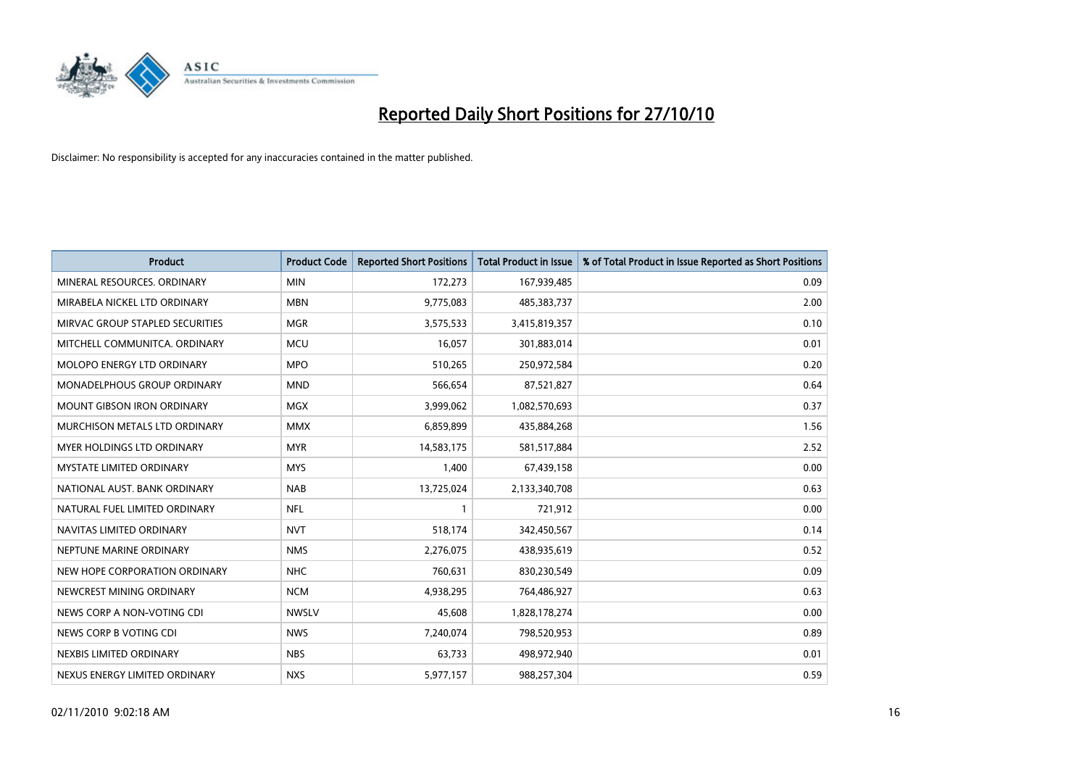

| <b>Product</b>                     | <b>Product Code</b> | <b>Reported Short Positions</b> | <b>Total Product in Issue</b> | % of Total Product in Issue Reported as Short Positions |
|------------------------------------|---------------------|---------------------------------|-------------------------------|---------------------------------------------------------|
| MINERAL RESOURCES, ORDINARY        | <b>MIN</b>          | 172,273                         | 167,939,485                   | 0.09                                                    |
| MIRABELA NICKEL LTD ORDINARY       | <b>MBN</b>          | 9,775,083                       | 485,383,737                   | 2.00                                                    |
| MIRVAC GROUP STAPLED SECURITIES    | <b>MGR</b>          | 3,575,533                       | 3,415,819,357                 | 0.10                                                    |
| MITCHELL COMMUNITCA. ORDINARY      | <b>MCU</b>          | 16,057                          | 301,883,014                   | 0.01                                                    |
| MOLOPO ENERGY LTD ORDINARY         | <b>MPO</b>          | 510,265                         | 250,972,584                   | 0.20                                                    |
| <b>MONADELPHOUS GROUP ORDINARY</b> | <b>MND</b>          | 566,654                         | 87,521,827                    | 0.64                                                    |
| <b>MOUNT GIBSON IRON ORDINARY</b>  | <b>MGX</b>          | 3,999,062                       | 1,082,570,693                 | 0.37                                                    |
| MURCHISON METALS LTD ORDINARY      | <b>MMX</b>          | 6,859,899                       | 435,884,268                   | 1.56                                                    |
| MYER HOLDINGS LTD ORDINARY         | <b>MYR</b>          | 14,583,175                      | 581,517,884                   | 2.52                                                    |
| <b>MYSTATE LIMITED ORDINARY</b>    | <b>MYS</b>          | 1,400                           | 67,439,158                    | 0.00                                                    |
| NATIONAL AUST. BANK ORDINARY       | <b>NAB</b>          | 13,725,024                      | 2,133,340,708                 | 0.63                                                    |
| NATURAL FUEL LIMITED ORDINARY      | <b>NFL</b>          |                                 | 721,912                       | 0.00                                                    |
| NAVITAS LIMITED ORDINARY           | <b>NVT</b>          | 518,174                         | 342,450,567                   | 0.14                                                    |
| NEPTUNE MARINE ORDINARY            | <b>NMS</b>          | 2,276,075                       | 438,935,619                   | 0.52                                                    |
| NEW HOPE CORPORATION ORDINARY      | <b>NHC</b>          | 760,631                         | 830,230,549                   | 0.09                                                    |
| NEWCREST MINING ORDINARY           | <b>NCM</b>          | 4,938,295                       | 764,486,927                   | 0.63                                                    |
| NEWS CORP A NON-VOTING CDI         | <b>NWSLV</b>        | 45,608                          | 1,828,178,274                 | 0.00                                                    |
| NEWS CORP B VOTING CDI             | <b>NWS</b>          | 7,240,074                       | 798,520,953                   | 0.89                                                    |
| NEXBIS LIMITED ORDINARY            | <b>NBS</b>          | 63,733                          | 498,972,940                   | 0.01                                                    |
| NEXUS ENERGY LIMITED ORDINARY      | <b>NXS</b>          | 5,977,157                       | 988,257,304                   | 0.59                                                    |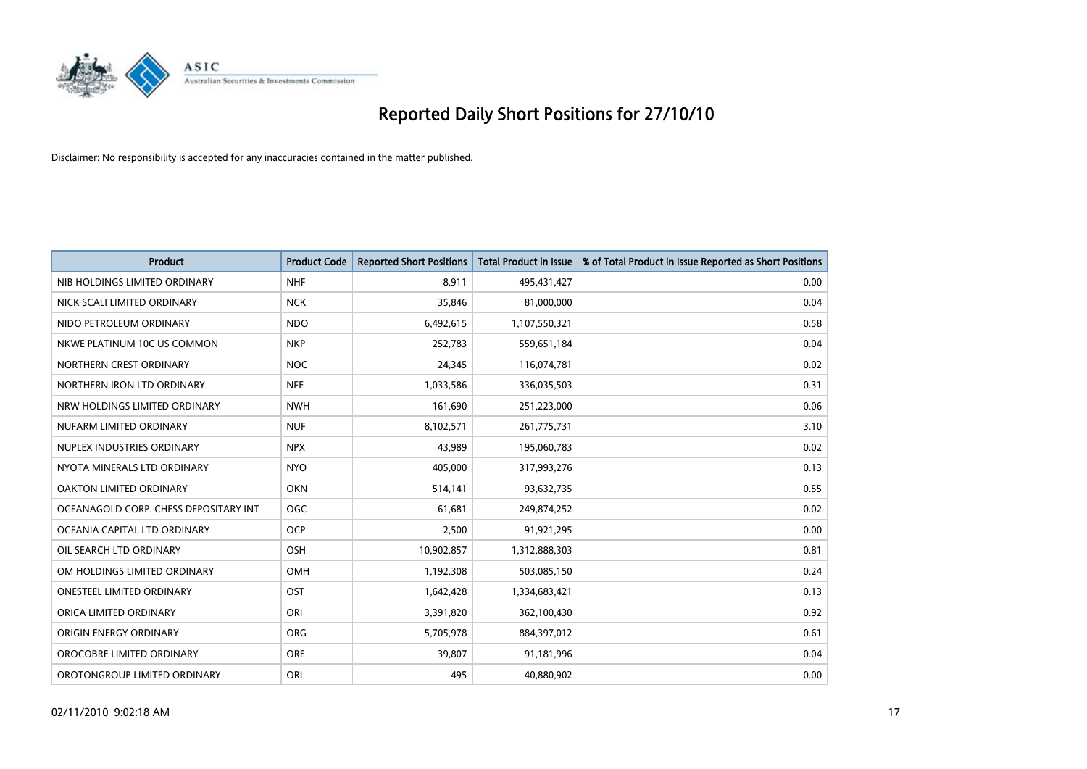

| <b>Product</b>                        | <b>Product Code</b> | <b>Reported Short Positions</b> | Total Product in Issue | % of Total Product in Issue Reported as Short Positions |
|---------------------------------------|---------------------|---------------------------------|------------------------|---------------------------------------------------------|
| NIB HOLDINGS LIMITED ORDINARY         | <b>NHF</b>          | 8,911                           | 495,431,427            | 0.00                                                    |
| NICK SCALI LIMITED ORDINARY           | <b>NCK</b>          | 35,846                          | 81,000,000             | 0.04                                                    |
| NIDO PETROLEUM ORDINARY               | <b>NDO</b>          | 6,492,615                       | 1,107,550,321          | 0.58                                                    |
| NKWE PLATINUM 10C US COMMON           | <b>NKP</b>          | 252,783                         | 559,651,184            | 0.04                                                    |
| NORTHERN CREST ORDINARY               | <b>NOC</b>          | 24,345                          | 116,074,781            | 0.02                                                    |
| NORTHERN IRON LTD ORDINARY            | <b>NFE</b>          | 1,033,586                       | 336,035,503            | 0.31                                                    |
| NRW HOLDINGS LIMITED ORDINARY         | <b>NWH</b>          | 161,690                         | 251,223,000            | 0.06                                                    |
| NUFARM LIMITED ORDINARY               | <b>NUF</b>          | 8,102,571                       | 261,775,731            | 3.10                                                    |
| NUPLEX INDUSTRIES ORDINARY            | <b>NPX</b>          | 43,989                          | 195,060,783            | 0.02                                                    |
| NYOTA MINERALS LTD ORDINARY           | <b>NYO</b>          | 405,000                         | 317,993,276            | 0.13                                                    |
| OAKTON LIMITED ORDINARY               | <b>OKN</b>          | 514,141                         | 93,632,735             | 0.55                                                    |
| OCEANAGOLD CORP. CHESS DEPOSITARY INT | <b>OGC</b>          | 61,681                          | 249,874,252            | 0.02                                                    |
| OCEANIA CAPITAL LTD ORDINARY          | <b>OCP</b>          | 2,500                           | 91,921,295             | 0.00                                                    |
| OIL SEARCH LTD ORDINARY               | OSH                 | 10,902,857                      | 1,312,888,303          | 0.81                                                    |
| OM HOLDINGS LIMITED ORDINARY          | <b>OMH</b>          | 1,192,308                       | 503,085,150            | 0.24                                                    |
| ONESTEEL LIMITED ORDINARY             | OST                 | 1,642,428                       | 1,334,683,421          | 0.13                                                    |
| ORICA LIMITED ORDINARY                | ORI                 | 3,391,820                       | 362,100,430            | 0.92                                                    |
| ORIGIN ENERGY ORDINARY                | <b>ORG</b>          | 5,705,978                       | 884,397,012            | 0.61                                                    |
| OROCOBRE LIMITED ORDINARY             | <b>ORE</b>          | 39,807                          | 91,181,996             | 0.04                                                    |
| OROTONGROUP LIMITED ORDINARY          | <b>ORL</b>          | 495                             | 40,880,902             | 0.00                                                    |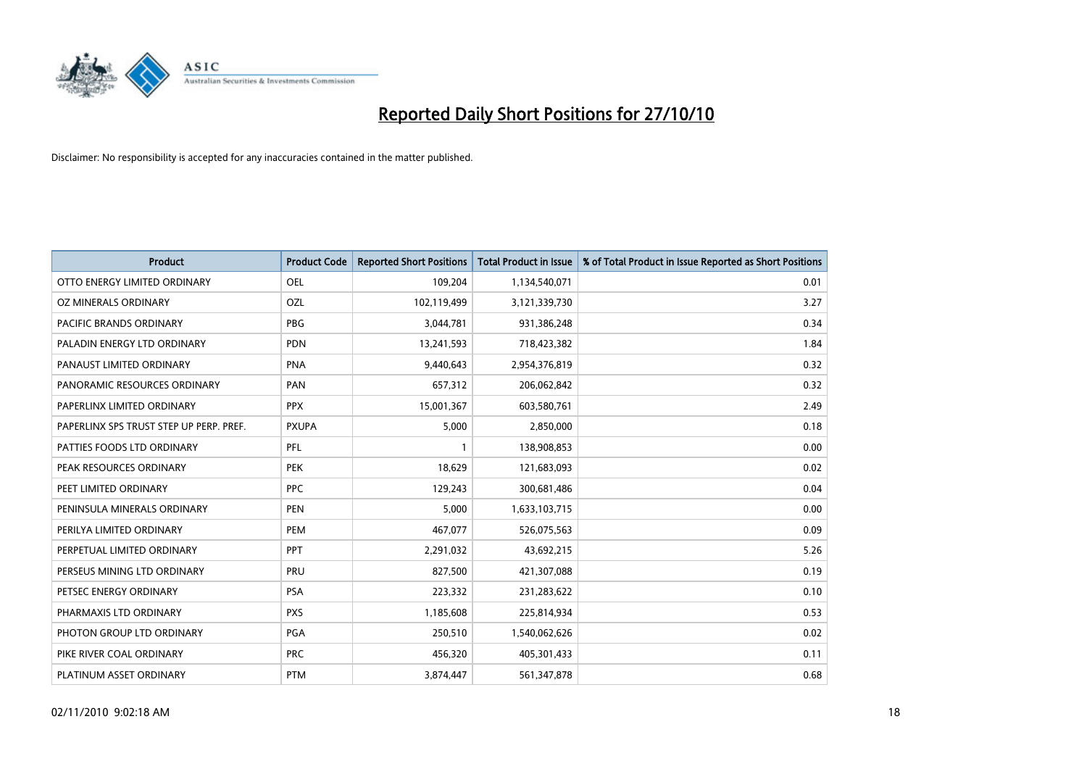

| <b>Product</b>                          | <b>Product Code</b> | <b>Reported Short Positions</b> | Total Product in Issue | % of Total Product in Issue Reported as Short Positions |
|-----------------------------------------|---------------------|---------------------------------|------------------------|---------------------------------------------------------|
| OTTO ENERGY LIMITED ORDINARY            | <b>OEL</b>          | 109,204                         | 1,134,540,071          | 0.01                                                    |
| OZ MINERALS ORDINARY                    | OZL                 | 102,119,499                     | 3,121,339,730          | 3.27                                                    |
| PACIFIC BRANDS ORDINARY                 | <b>PBG</b>          | 3,044,781                       | 931,386,248            | 0.34                                                    |
| PALADIN ENERGY LTD ORDINARY             | <b>PDN</b>          | 13,241,593                      | 718,423,382            | 1.84                                                    |
| PANAUST LIMITED ORDINARY                | <b>PNA</b>          | 9,440,643                       | 2,954,376,819          | 0.32                                                    |
| PANORAMIC RESOURCES ORDINARY            | PAN                 | 657,312                         | 206,062,842            | 0.32                                                    |
| PAPERLINX LIMITED ORDINARY              | <b>PPX</b>          | 15,001,367                      | 603,580,761            | 2.49                                                    |
| PAPERLINX SPS TRUST STEP UP PERP. PREF. | <b>PXUPA</b>        | 5,000                           | 2,850,000              | 0.18                                                    |
| PATTIES FOODS LTD ORDINARY              | PFL                 |                                 | 138,908,853            | 0.00                                                    |
| PEAK RESOURCES ORDINARY                 | <b>PEK</b>          | 18,629                          | 121,683,093            | 0.02                                                    |
| PEET LIMITED ORDINARY                   | <b>PPC</b>          | 129,243                         | 300,681,486            | 0.04                                                    |
| PENINSULA MINERALS ORDINARY             | <b>PEN</b>          | 5,000                           | 1,633,103,715          | 0.00                                                    |
| PERILYA LIMITED ORDINARY                | PEM                 | 467,077                         | 526,075,563            | 0.09                                                    |
| PERPETUAL LIMITED ORDINARY              | PPT                 | 2,291,032                       | 43,692,215             | 5.26                                                    |
| PERSEUS MINING LTD ORDINARY             | PRU                 | 827,500                         | 421,307,088            | 0.19                                                    |
| PETSEC ENERGY ORDINARY                  | <b>PSA</b>          | 223,332                         | 231,283,622            | 0.10                                                    |
| PHARMAXIS LTD ORDINARY                  | <b>PXS</b>          | 1,185,608                       | 225,814,934            | 0.53                                                    |
| PHOTON GROUP LTD ORDINARY               | PGA                 | 250,510                         | 1,540,062,626          | 0.02                                                    |
| PIKE RIVER COAL ORDINARY                | <b>PRC</b>          | 456,320                         | 405,301,433            | 0.11                                                    |
| PLATINUM ASSET ORDINARY                 | <b>PTM</b>          | 3,874,447                       | 561,347,878            | 0.68                                                    |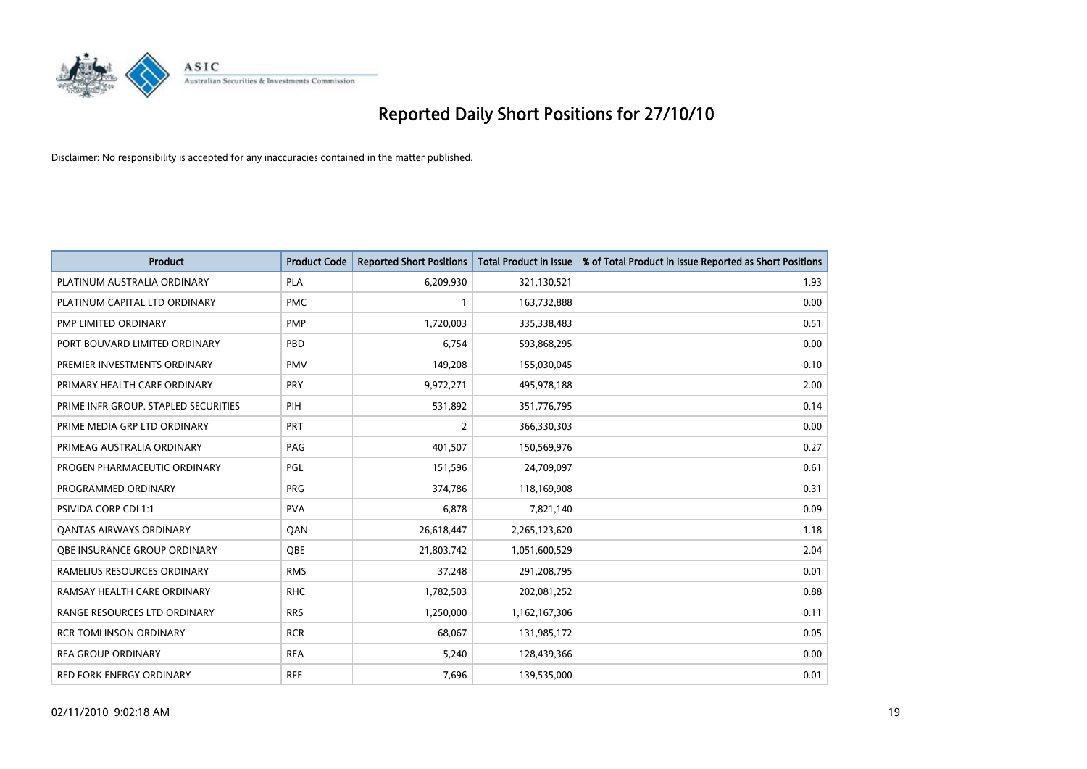

| <b>Product</b>                       | <b>Product Code</b> | <b>Reported Short Positions</b> | Total Product in Issue | % of Total Product in Issue Reported as Short Positions |
|--------------------------------------|---------------------|---------------------------------|------------------------|---------------------------------------------------------|
| PLATINUM AUSTRALIA ORDINARY          | <b>PLA</b>          | 6,209,930                       | 321,130,521            | 1.93                                                    |
| PLATINUM CAPITAL LTD ORDINARY        | <b>PMC</b>          |                                 | 163,732,888            | 0.00                                                    |
| PMP LIMITED ORDINARY                 | <b>PMP</b>          | 1,720,003                       | 335,338,483            | 0.51                                                    |
| PORT BOUVARD LIMITED ORDINARY        | PBD                 | 6,754                           | 593,868,295            | 0.00                                                    |
| PREMIER INVESTMENTS ORDINARY         | <b>PMV</b>          | 149,208                         | 155,030,045            | 0.10                                                    |
| PRIMARY HEALTH CARE ORDINARY         | PRY                 | 9,972,271                       | 495,978,188            | 2.00                                                    |
| PRIME INFR GROUP. STAPLED SECURITIES | PIH                 | 531,892                         | 351,776,795            | 0.14                                                    |
| PRIME MEDIA GRP LTD ORDINARY         | PRT                 | 2                               | 366,330,303            | 0.00                                                    |
| PRIMEAG AUSTRALIA ORDINARY           | PAG                 | 401,507                         | 150,569,976            | 0.27                                                    |
| PROGEN PHARMACEUTIC ORDINARY         | PGL                 | 151,596                         | 24,709,097             | 0.61                                                    |
| PROGRAMMED ORDINARY                  | <b>PRG</b>          | 374,786                         | 118,169,908            | 0.31                                                    |
| PSIVIDA CORP CDI 1:1                 | <b>PVA</b>          | 6,878                           | 7,821,140              | 0.09                                                    |
| <b>QANTAS AIRWAYS ORDINARY</b>       | QAN                 | 26,618,447                      | 2,265,123,620          | 1.18                                                    |
| OBE INSURANCE GROUP ORDINARY         | OBE                 | 21,803,742                      | 1,051,600,529          | 2.04                                                    |
| RAMELIUS RESOURCES ORDINARY          | <b>RMS</b>          | 37,248                          | 291,208,795            | 0.01                                                    |
| RAMSAY HEALTH CARE ORDINARY          | <b>RHC</b>          | 1,782,503                       | 202,081,252            | 0.88                                                    |
| RANGE RESOURCES LTD ORDINARY         | <b>RRS</b>          | 1,250,000                       | 1,162,167,306          | 0.11                                                    |
| <b>RCR TOMLINSON ORDINARY</b>        | <b>RCR</b>          | 68,067                          | 131,985,172            | 0.05                                                    |
| <b>REA GROUP ORDINARY</b>            | <b>REA</b>          | 5,240                           | 128,439,366            | 0.00                                                    |
| RED FORK ENERGY ORDINARY             | <b>RFE</b>          | 7,696                           | 139,535,000            | 0.01                                                    |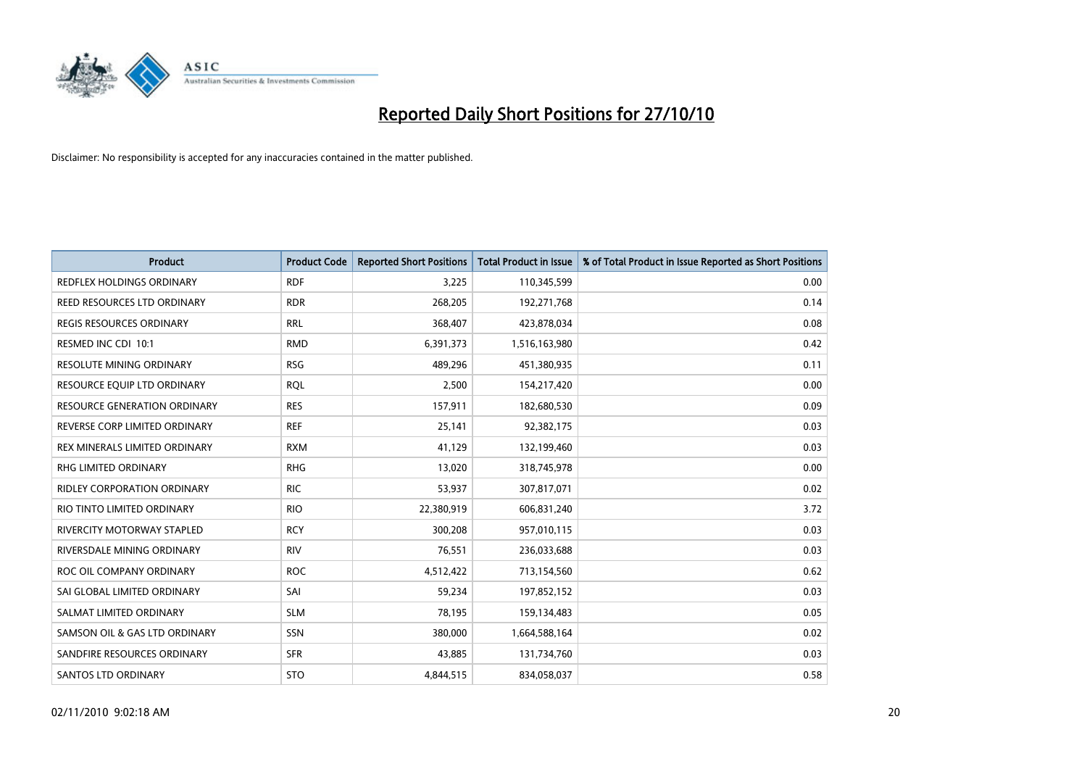

| <b>Product</b>                      | <b>Product Code</b> | <b>Reported Short Positions</b> | <b>Total Product in Issue</b> | % of Total Product in Issue Reported as Short Positions |
|-------------------------------------|---------------------|---------------------------------|-------------------------------|---------------------------------------------------------|
| <b>REDFLEX HOLDINGS ORDINARY</b>    | <b>RDF</b>          | 3,225                           | 110,345,599                   | 0.00                                                    |
| REED RESOURCES LTD ORDINARY         | <b>RDR</b>          | 268,205                         | 192,271,768                   | 0.14                                                    |
| <b>REGIS RESOURCES ORDINARY</b>     | <b>RRL</b>          | 368,407                         | 423,878,034                   | 0.08                                                    |
| RESMED INC CDI 10:1                 | <b>RMD</b>          | 6,391,373                       | 1,516,163,980                 | 0.42                                                    |
| <b>RESOLUTE MINING ORDINARY</b>     | <b>RSG</b>          | 489,296                         | 451,380,935                   | 0.11                                                    |
| RESOURCE EQUIP LTD ORDINARY         | <b>RQL</b>          | 2,500                           | 154,217,420                   | 0.00                                                    |
| <b>RESOURCE GENERATION ORDINARY</b> | <b>RES</b>          | 157,911                         | 182,680,530                   | 0.09                                                    |
| REVERSE CORP LIMITED ORDINARY       | <b>REF</b>          | 25,141                          | 92,382,175                    | 0.03                                                    |
| REX MINERALS LIMITED ORDINARY       | <b>RXM</b>          | 41,129                          | 132,199,460                   | 0.03                                                    |
| <b>RHG LIMITED ORDINARY</b>         | <b>RHG</b>          | 13,020                          | 318,745,978                   | 0.00                                                    |
| RIDLEY CORPORATION ORDINARY         | <b>RIC</b>          | 53,937                          | 307,817,071                   | 0.02                                                    |
| RIO TINTO LIMITED ORDINARY          | <b>RIO</b>          | 22,380,919                      | 606,831,240                   | 3.72                                                    |
| RIVERCITY MOTORWAY STAPLED          | <b>RCY</b>          | 300,208                         | 957,010,115                   | 0.03                                                    |
| RIVERSDALE MINING ORDINARY          | <b>RIV</b>          | 76,551                          | 236,033,688                   | 0.03                                                    |
| ROC OIL COMPANY ORDINARY            | <b>ROC</b>          | 4,512,422                       | 713,154,560                   | 0.62                                                    |
| SAI GLOBAL LIMITED ORDINARY         | SAI                 | 59,234                          | 197,852,152                   | 0.03                                                    |
| SALMAT LIMITED ORDINARY             | <b>SLM</b>          | 78,195                          | 159,134,483                   | 0.05                                                    |
| SAMSON OIL & GAS LTD ORDINARY       | SSN                 | 380,000                         | 1,664,588,164                 | 0.02                                                    |
| SANDFIRE RESOURCES ORDINARY         | <b>SFR</b>          | 43,885                          | 131,734,760                   | 0.03                                                    |
| <b>SANTOS LTD ORDINARY</b>          | <b>STO</b>          | 4,844,515                       | 834,058,037                   | 0.58                                                    |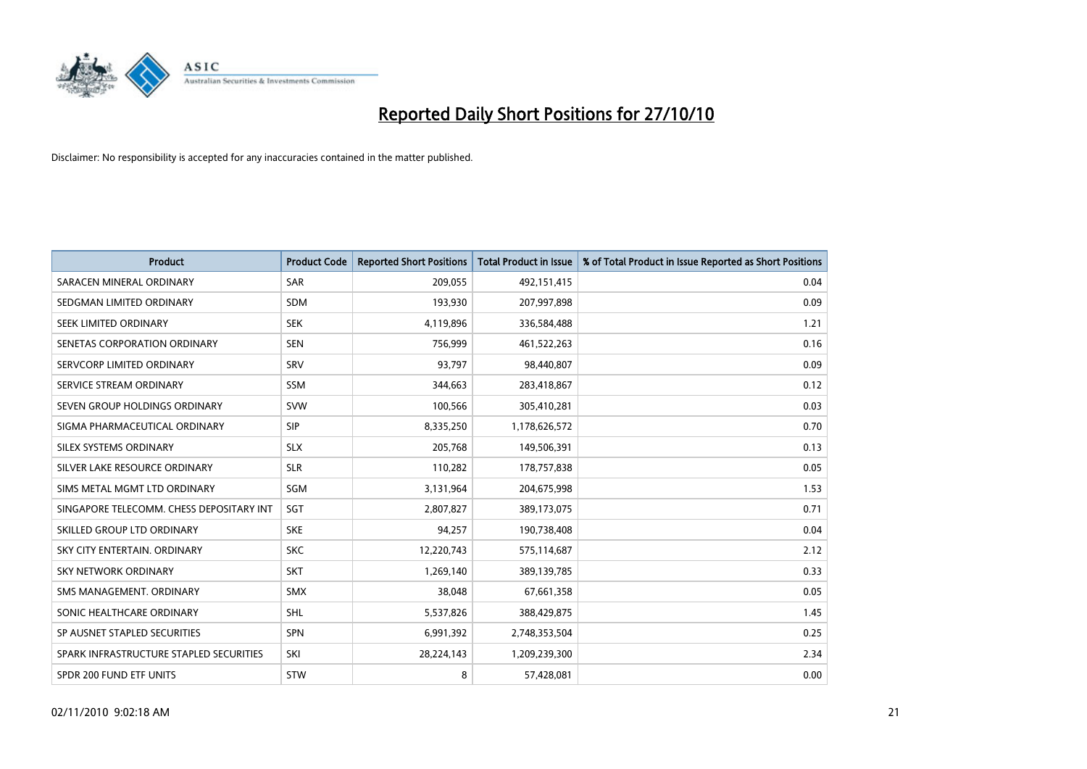

| <b>Product</b>                           | <b>Product Code</b> | <b>Reported Short Positions</b> | <b>Total Product in Issue</b> | % of Total Product in Issue Reported as Short Positions |
|------------------------------------------|---------------------|---------------------------------|-------------------------------|---------------------------------------------------------|
| SARACEN MINERAL ORDINARY                 | <b>SAR</b>          | 209,055                         | 492,151,415                   | 0.04                                                    |
| SEDGMAN LIMITED ORDINARY                 | <b>SDM</b>          | 193,930                         | 207,997,898                   | 0.09                                                    |
| SEEK LIMITED ORDINARY                    | <b>SEK</b>          | 4,119,896                       | 336,584,488                   | 1.21                                                    |
| SENETAS CORPORATION ORDINARY             | <b>SEN</b>          | 756,999                         | 461,522,263                   | 0.16                                                    |
| SERVCORP LIMITED ORDINARY                | SRV                 | 93,797                          | 98,440,807                    | 0.09                                                    |
| SERVICE STREAM ORDINARY                  | <b>SSM</b>          | 344,663                         | 283,418,867                   | 0.12                                                    |
| SEVEN GROUP HOLDINGS ORDINARY            | <b>SVW</b>          | 100,566                         | 305,410,281                   | 0.03                                                    |
| SIGMA PHARMACEUTICAL ORDINARY            | SIP                 | 8,335,250                       | 1,178,626,572                 | 0.70                                                    |
| SILEX SYSTEMS ORDINARY                   | <b>SLX</b>          | 205,768                         | 149,506,391                   | 0.13                                                    |
| SILVER LAKE RESOURCE ORDINARY            | <b>SLR</b>          | 110,282                         | 178,757,838                   | 0.05                                                    |
| SIMS METAL MGMT LTD ORDINARY             | SGM                 | 3,131,964                       | 204,675,998                   | 1.53                                                    |
| SINGAPORE TELECOMM. CHESS DEPOSITARY INT | SGT                 | 2,807,827                       | 389,173,075                   | 0.71                                                    |
| SKILLED GROUP LTD ORDINARY               | <b>SKE</b>          | 94.257                          | 190,738,408                   | 0.04                                                    |
| SKY CITY ENTERTAIN, ORDINARY             | <b>SKC</b>          | 12,220,743                      | 575,114,687                   | 2.12                                                    |
| SKY NETWORK ORDINARY                     | <b>SKT</b>          | 1,269,140                       | 389,139,785                   | 0.33                                                    |
| SMS MANAGEMENT, ORDINARY                 | <b>SMX</b>          | 38,048                          | 67,661,358                    | 0.05                                                    |
| SONIC HEALTHCARE ORDINARY                | <b>SHL</b>          | 5,537,826                       | 388,429,875                   | 1.45                                                    |
| SP AUSNET STAPLED SECURITIES             | SPN                 | 6,991,392                       | 2,748,353,504                 | 0.25                                                    |
| SPARK INFRASTRUCTURE STAPLED SECURITIES  | SKI                 | 28,224,143                      | 1,209,239,300                 | 2.34                                                    |
| SPDR 200 FUND ETF UNITS                  | STW                 | 8                               | 57,428,081                    | 0.00                                                    |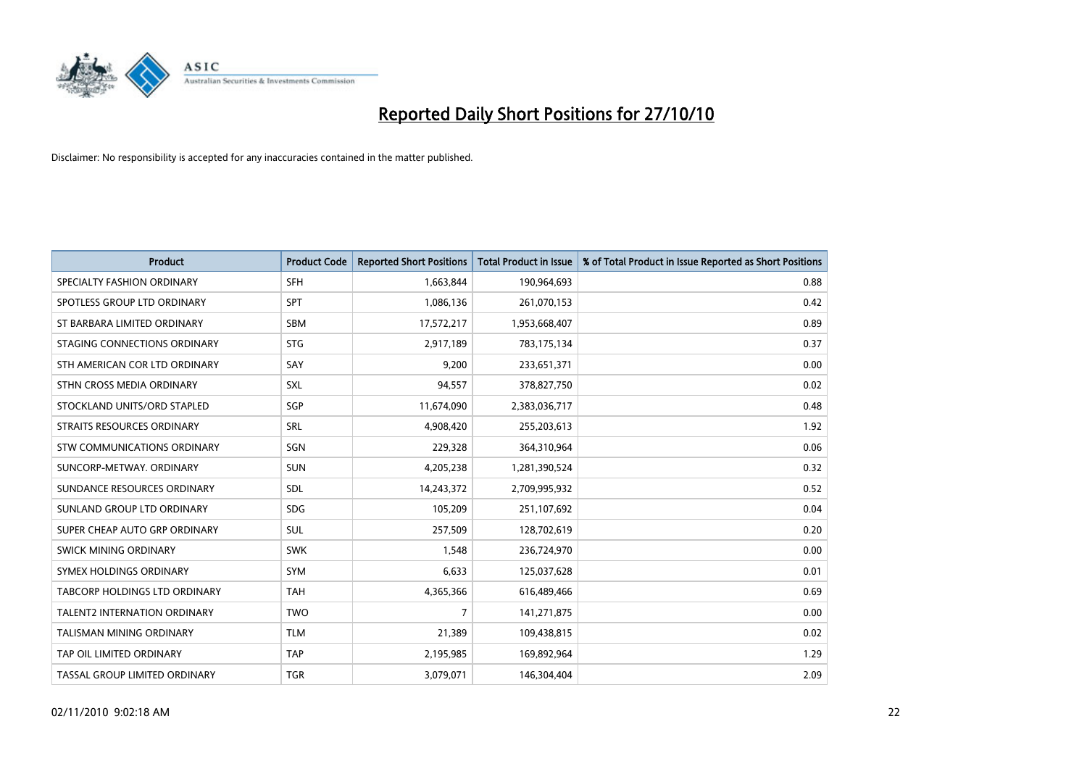

| <b>Product</b>                | <b>Product Code</b> | <b>Reported Short Positions</b> | <b>Total Product in Issue</b> | % of Total Product in Issue Reported as Short Positions |
|-------------------------------|---------------------|---------------------------------|-------------------------------|---------------------------------------------------------|
| SPECIALTY FASHION ORDINARY    | <b>SFH</b>          | 1,663,844                       | 190,964,693                   | 0.88                                                    |
| SPOTLESS GROUP LTD ORDINARY   | SPT                 | 1,086,136                       | 261,070,153                   | 0.42                                                    |
| ST BARBARA LIMITED ORDINARY   | <b>SBM</b>          | 17,572,217                      | 1,953,668,407                 | 0.89                                                    |
| STAGING CONNECTIONS ORDINARY  | <b>STG</b>          | 2,917,189                       | 783,175,134                   | 0.37                                                    |
| STH AMERICAN COR LTD ORDINARY | SAY                 | 9,200                           | 233,651,371                   | 0.00                                                    |
| STHN CROSS MEDIA ORDINARY     | <b>SXL</b>          | 94,557                          | 378,827,750                   | 0.02                                                    |
| STOCKLAND UNITS/ORD STAPLED   | SGP                 | 11,674,090                      | 2,383,036,717                 | 0.48                                                    |
| STRAITS RESOURCES ORDINARY    | SRL                 | 4,908,420                       | 255,203,613                   | 1.92                                                    |
| STW COMMUNICATIONS ORDINARY   | SGN                 | 229,328                         | 364,310,964                   | 0.06                                                    |
| SUNCORP-METWAY, ORDINARY      | <b>SUN</b>          | 4,205,238                       | 1,281,390,524                 | 0.32                                                    |
| SUNDANCE RESOURCES ORDINARY   | <b>SDL</b>          | 14,243,372                      | 2,709,995,932                 | 0.52                                                    |
| SUNLAND GROUP LTD ORDINARY    | <b>SDG</b>          | 105,209                         | 251,107,692                   | 0.04                                                    |
| SUPER CHEAP AUTO GRP ORDINARY | SUL                 | 257,509                         | 128,702,619                   | 0.20                                                    |
| SWICK MINING ORDINARY         | <b>SWK</b>          | 1,548                           | 236,724,970                   | 0.00                                                    |
| SYMEX HOLDINGS ORDINARY       | SYM                 | 6,633                           | 125,037,628                   | 0.01                                                    |
| TABCORP HOLDINGS LTD ORDINARY | <b>TAH</b>          | 4,365,366                       | 616,489,466                   | 0.69                                                    |
| TALENT2 INTERNATION ORDINARY  | <b>TWO</b>          | $\overline{7}$                  | 141,271,875                   | 0.00                                                    |
| TALISMAN MINING ORDINARY      | <b>TLM</b>          | 21,389                          | 109,438,815                   | 0.02                                                    |
| TAP OIL LIMITED ORDINARY      | <b>TAP</b>          | 2,195,985                       | 169,892,964                   | 1.29                                                    |
| TASSAL GROUP LIMITED ORDINARY | <b>TGR</b>          | 3,079,071                       | 146,304,404                   | 2.09                                                    |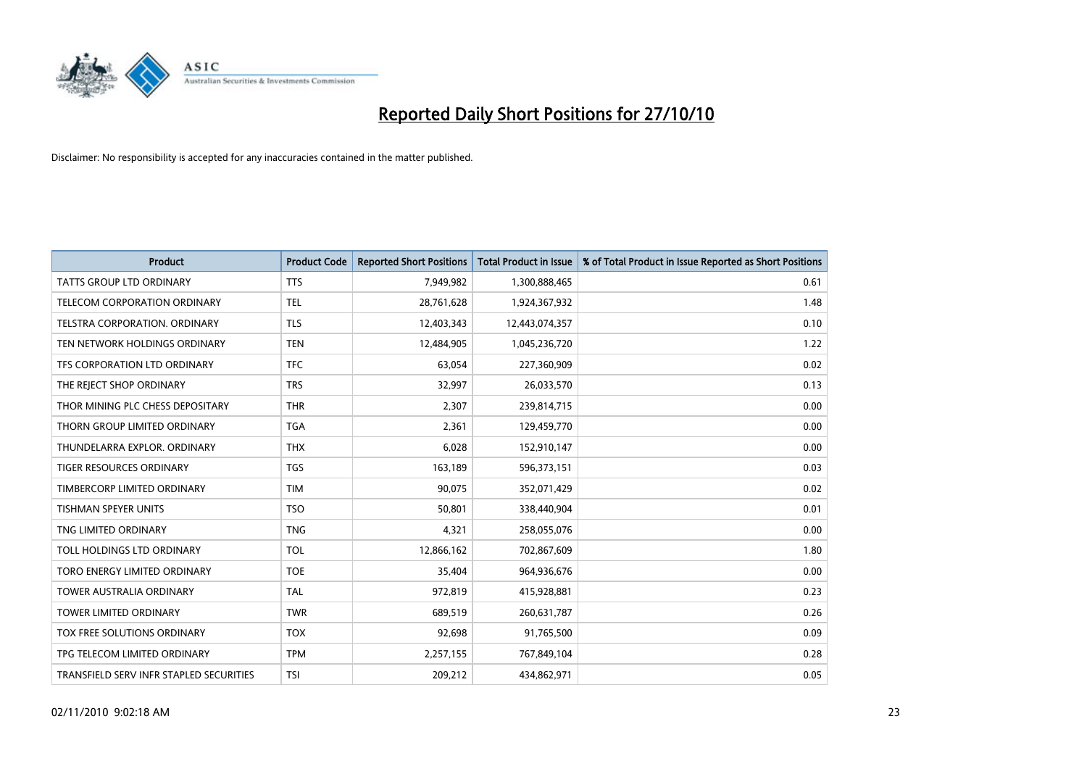

| <b>Product</b>                          | <b>Product Code</b> | <b>Reported Short Positions</b> | <b>Total Product in Issue</b> | % of Total Product in Issue Reported as Short Positions |
|-----------------------------------------|---------------------|---------------------------------|-------------------------------|---------------------------------------------------------|
| <b>TATTS GROUP LTD ORDINARY</b>         | <b>TTS</b>          | 7,949,982                       | 1,300,888,465                 | 0.61                                                    |
| TELECOM CORPORATION ORDINARY            | <b>TEL</b>          | 28,761,628                      | 1,924,367,932                 | 1.48                                                    |
| <b>TELSTRA CORPORATION, ORDINARY</b>    | <b>TLS</b>          | 12,403,343                      | 12,443,074,357                | 0.10                                                    |
| TEN NETWORK HOLDINGS ORDINARY           | <b>TEN</b>          | 12,484,905                      | 1,045,236,720                 | 1.22                                                    |
| TFS CORPORATION LTD ORDINARY            | <b>TFC</b>          | 63,054                          | 227,360,909                   | 0.02                                                    |
| THE REJECT SHOP ORDINARY                | <b>TRS</b>          | 32,997                          | 26,033,570                    | 0.13                                                    |
| THOR MINING PLC CHESS DEPOSITARY        | <b>THR</b>          | 2,307                           | 239,814,715                   | 0.00                                                    |
| THORN GROUP LIMITED ORDINARY            | <b>TGA</b>          | 2,361                           | 129,459,770                   | 0.00                                                    |
| THUNDELARRA EXPLOR, ORDINARY            | <b>THX</b>          | 6,028                           | 152,910,147                   | 0.00                                                    |
| <b>TIGER RESOURCES ORDINARY</b>         | <b>TGS</b>          | 163,189                         | 596,373,151                   | 0.03                                                    |
| TIMBERCORP LIMITED ORDINARY             | <b>TIM</b>          | 90,075                          | 352,071,429                   | 0.02                                                    |
| <b>TISHMAN SPEYER UNITS</b>             | <b>TSO</b>          | 50,801                          | 338,440,904                   | 0.01                                                    |
| TNG LIMITED ORDINARY                    | <b>TNG</b>          | 4,321                           | 258,055,076                   | 0.00                                                    |
| TOLL HOLDINGS LTD ORDINARY              | <b>TOL</b>          | 12,866,162                      | 702,867,609                   | 1.80                                                    |
| TORO ENERGY LIMITED ORDINARY            | <b>TOE</b>          | 35,404                          | 964,936,676                   | 0.00                                                    |
| <b>TOWER AUSTRALIA ORDINARY</b>         | <b>TAL</b>          | 972,819                         | 415,928,881                   | 0.23                                                    |
| TOWER LIMITED ORDINARY                  | <b>TWR</b>          | 689,519                         | 260,631,787                   | 0.26                                                    |
| TOX FREE SOLUTIONS ORDINARY             | <b>TOX</b>          | 92,698                          | 91,765,500                    | 0.09                                                    |
| TPG TELECOM LIMITED ORDINARY            | <b>TPM</b>          | 2,257,155                       | 767,849,104                   | 0.28                                                    |
| TRANSFIELD SERV INFR STAPLED SECURITIES | <b>TSI</b>          | 209,212                         | 434,862,971                   | 0.05                                                    |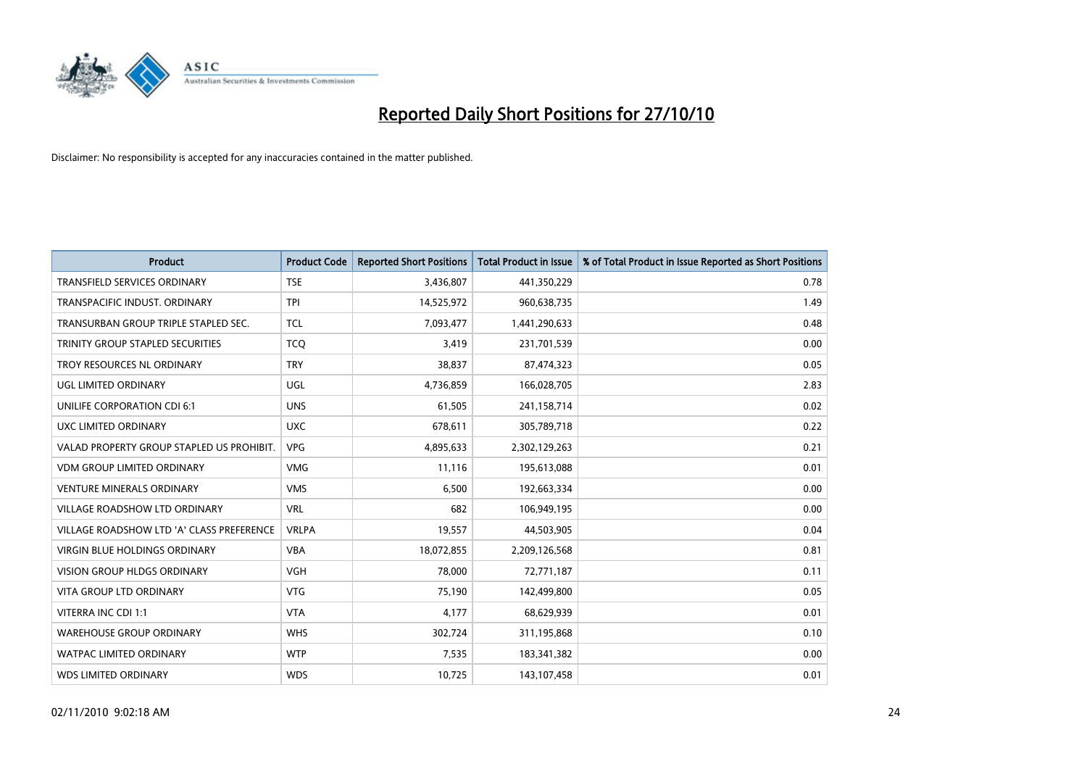

| <b>Product</b>                            | <b>Product Code</b> | <b>Reported Short Positions</b> | <b>Total Product in Issue</b> | % of Total Product in Issue Reported as Short Positions |
|-------------------------------------------|---------------------|---------------------------------|-------------------------------|---------------------------------------------------------|
| <b>TRANSFIELD SERVICES ORDINARY</b>       | <b>TSE</b>          | 3,436,807                       | 441,350,229                   | 0.78                                                    |
| TRANSPACIFIC INDUST. ORDINARY             | <b>TPI</b>          | 14,525,972                      | 960,638,735                   | 1.49                                                    |
| TRANSURBAN GROUP TRIPLE STAPLED SEC.      | <b>TCL</b>          | 7,093,477                       | 1,441,290,633                 | 0.48                                                    |
| TRINITY GROUP STAPLED SECURITIES          | <b>TCQ</b>          | 3,419                           | 231,701,539                   | 0.00                                                    |
| TROY RESOURCES NL ORDINARY                | <b>TRY</b>          | 38,837                          | 87,474,323                    | 0.05                                                    |
| UGL LIMITED ORDINARY                      | UGL                 | 4,736,859                       | 166,028,705                   | 2.83                                                    |
| UNILIFE CORPORATION CDI 6:1               | <b>UNS</b>          | 61,505                          | 241,158,714                   | 0.02                                                    |
| UXC LIMITED ORDINARY                      | <b>UXC</b>          | 678,611                         | 305,789,718                   | 0.22                                                    |
| VALAD PROPERTY GROUP STAPLED US PROHIBIT. | <b>VPG</b>          | 4,895,633                       | 2,302,129,263                 | 0.21                                                    |
| <b>VDM GROUP LIMITED ORDINARY</b>         | <b>VMG</b>          | 11,116                          | 195,613,088                   | 0.01                                                    |
| VENTURE MINERALS ORDINARY                 | <b>VMS</b>          | 6,500                           | 192,663,334                   | 0.00                                                    |
| VILLAGE ROADSHOW LTD ORDINARY             | <b>VRL</b>          | 682                             | 106,949,195                   | 0.00                                                    |
| VILLAGE ROADSHOW LTD 'A' CLASS PREFERENCE | <b>VRLPA</b>        | 19,557                          | 44,503,905                    | 0.04                                                    |
| <b>VIRGIN BLUE HOLDINGS ORDINARY</b>      | <b>VBA</b>          | 18,072,855                      | 2,209,126,568                 | 0.81                                                    |
| <b>VISION GROUP HLDGS ORDINARY</b>        | <b>VGH</b>          | 78,000                          | 72,771,187                    | 0.11                                                    |
| <b>VITA GROUP LTD ORDINARY</b>            | <b>VTG</b>          | 75,190                          | 142,499,800                   | 0.05                                                    |
| VITERRA INC CDI 1:1                       | <b>VTA</b>          | 4,177                           | 68,629,939                    | 0.01                                                    |
| <b>WAREHOUSE GROUP ORDINARY</b>           | <b>WHS</b>          | 302,724                         | 311,195,868                   | 0.10                                                    |
| <b>WATPAC LIMITED ORDINARY</b>            | <b>WTP</b>          | 7,535                           | 183,341,382                   | 0.00                                                    |
| <b>WDS LIMITED ORDINARY</b>               | <b>WDS</b>          | 10,725                          | 143,107,458                   | 0.01                                                    |